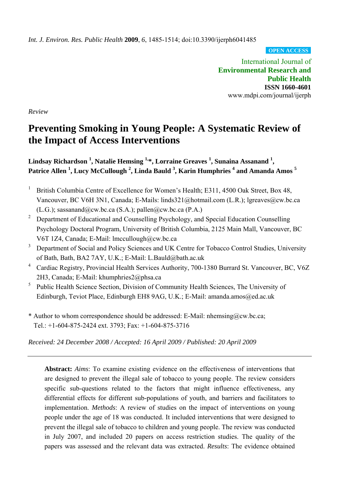*Int. J. Environ. Res. Public Health* **2009**, *6*, 1485-1514; doi:10.3390/ijerph6041485

**OPEN ACCESS**

International Journal of **Environmental Research and Public Health ISSN 1660-4601**  www.mdpi.com/journal/ijerph

*Review* 

# **Preventing Smoking in Young People: A Systematic Review of the Impact of Access Interventions**

## **Lindsay Richardson <sup>1</sup> , Natalie Hemsing 1,\*, Lorraine Greaves 1 , Sunaina Assanand <sup>1</sup> , Patrice Allen 1 , Lucy McCullough <sup>2</sup> , Linda Bauld <sup>3</sup> , Karin Humphries <sup>4</sup> and Amanda Amos <sup>5</sup>**

- 1 British Columbia Centre of Excellence for Women's Health; E311, 4500 Oak Street, Box 48, Vancouver, BC V6H 3N1, Canada; E-Mails: linds321@hotmail.com (L.R.); lgreaves@cw.bc.ca  $(L.G.)$ ; sassanand@cw.bc.ca  $(S.A.)$ ; pallen@cw.bc.ca  $(P.A.)$
- <sup>2</sup> Department of Educational and Counselling Psychology, and Special Education Counselling Psychology Doctoral Program, University of British Columbia, 2125 Main Mall, Vancouver, BC V6T 1Z4, Canada; E-Mail: lmccullough@cw.bc.ca
- 3 Department of Social and Policy Sciences and UK Centre for Tobacco Control Studies, University of Bath, Bath, BA2 7AY, U.K.; E-Mail: L.Bauld@bath.ac.uk
- 4 Cardiac Registry, Provincial Health Services Authority, 700-1380 Burrard St. Vancouver, BC, V6Z 2H3, Canada; E-Mail: khumphries2@phsa.ca
- 5 Public Health Science Section, Division of Community Health Sciences, The University of Edinburgh, Teviot Place, Edinburgh EH8 9AG, U.K.; E-Mail: amanda.amos@ed.ac.uk
- \* Author to whom correspondence should be addressed: E-Mail: nhemsing@cw.bc.ca; Tel.: +1-604-875-2424 ext. 3793; Fax: +1-604-875-3716

*Received: 24 December 2008 / Accepted: 16 April 2009 / Published: 20 April 2009* 

**Abstract:** *Aims*: To examine existing evidence on the effectiveness of interventions that are designed to prevent the illegal sale of tobacco to young people. The review considers specific sub-questions related to the factors that might influence effectiveness, any differential effects for different sub-populations of youth, and barriers and facilitators to implementation. *Methods*: A review of studies on the impact of interventions on young people under the age of 18 was conducted. It included interventions that were designed to prevent the illegal sale of tobacco to children and young people. The review was conducted in July 2007, and included 20 papers on access restriction studies. The quality of the papers was assessed and the relevant data was extracted. *Results*: The evidence obtained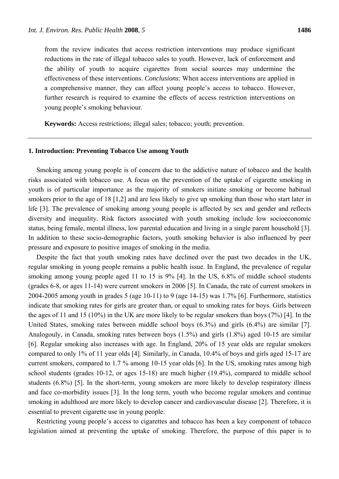from the review indicates that access restriction interventions may produce significant reductions in the rate of illegal tobacco sales to youth. However, lack of enforcement and the ability of youth to acquire cigarettes from social sources may undermine the effectiveness of these interventions. *Conclusions*: When access interventions are applied in a comprehensive manner, they can affect young people's access to tobacco. However, further research is required to examine the effects of access restriction interventions on young people's smoking behaviour.

**Keywords:** Access restrictions; illegal sales; tobacco; youth; prevention.

#### **1. Introduction: Preventing Tobacco Use among Youth**

Smoking among young people is of concern due to the addictive nature of tobacco and the health risks associated with tobacco use. A focus on the prevention of the uptake of cigarette smoking in youth is of particular importance as the majority of smokers initiate smoking or become habitual smokers prior to the age of 18 [1,2] and are less likely to give up smoking than those who start later in life [3]. The prevalence of smoking among young people is affected by sex and gender and reflects diversity and inequality. Risk factors associated with youth smoking include low socioeconomic status, being female, mental illness, low parental education and living in a single parent household [3]. In addition to these socio-demographic factors, youth smoking behavior is also influenced by peer pressure and exposure to positive images of smoking in the media.

Despite the fact that youth smoking rates have declined over the past two decades in the UK, regular smoking in young people remains a public health issue. In England, the prevalence of regular smoking among young people aged 11 to 15 is 9% [4]. In the US, 6.8% of middle school students (grades 6-8, or ages 11-14) were current smokers in 2006 [5]. In Canada, the rate of current smokers in 2004-2005 among youth in grades 5 (age 10-11) to 9 (age 14-15) was 1.7% [6]. Furthermore, statistics indicate that smoking rates for girls are greater than, or equal to smoking rates for boys. Girls between the ages of 11 and 15 (10%) in the UK are more likely to be regular smokers than boys (7%) [4]. In the United States, smoking rates between middle school boys (6.3%) and girls (6.4%) are similar [7]. Analogouly, in Canada, smoking rates between boys (1.5%) and girls (1.8%) aged 10-15 are similar [6]. Regular smoking also increases with age. In England, 20% of 15 year olds are regular smokers compared to only 1% of 11 year olds [4]. Similarly, in Canada, 10.4% of boys and girls aged 15-17 are current smokers, compared to 1.7 % among 10-15 year olds [6]. In the US, smoking rates among high school students (grades 10-12, or ages 15-18) are much higher (19.4%), compared to middle school students (6.8%) [5]. In the short-term, young smokers are more likely to develop respiratory illness and face co-morbidity issues [3]. In the long term, youth who become regular smokers and continue smoking in adulthood are more likely to develop cancer and cardiovascular disease [2]. Therefore, it is essential to prevent cigarette use in young people.

Restricting young people's access to cigarettes and tobacco has been a key component of tobacco legislation aimed at preventing the uptake of smoking. Therefore, the purpose of this paper is to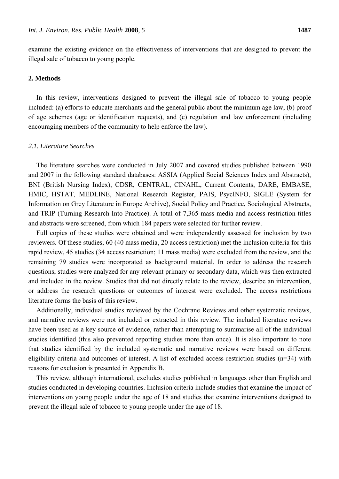examine the existing evidence on the effectiveness of interventions that are designed to prevent the illegal sale of tobacco to young people.

### **2. Methods**

In this review, interventions designed to prevent the illegal sale of tobacco to young people included: (a) efforts to educate merchants and the general public about the minimum age law, (b) proof of age schemes (age or identification requests), and (c) regulation and law enforcement (including encouraging members of the community to help enforce the law).

#### *2.1. Literature Searches*

The literature searches were conducted in July 2007 and covered studies published between 1990 and 2007 in the following standard databases: ASSIA (Applied Social Sciences Index and Abstracts), BNI (British Nursing Index), CDSR, CENTRAL, CINAHL, Current Contents, DARE, EMBASE, HMIC, HSTAT, MEDLINE, National Research Register, PAIS, PsycINFO, SIGLE (System for Information on Grey Literature in Europe Archive), Social Policy and Practice, Sociological Abstracts, and TRIP (Turning Research Into Practice). A total of 7,365 mass media and access restriction titles and abstracts were screened, from which 184 papers were selected for further review.

Full copies of these studies were obtained and were independently assessed for inclusion by two reviewers. Of these studies, 60 (40 mass media, 20 access restriction) met the inclusion criteria for this rapid review, 45 studies (34 access restriction; 11 mass media) were excluded from the review, and the remaining 79 studies were incorporated as background material. In order to address the research questions, studies were analyzed for any relevant primary or secondary data, which was then extracted and included in the review. Studies that did not directly relate to the review, describe an intervention, or address the research questions or outcomes of interest were excluded. The access restrictions literature forms the basis of this review.

Additionally, individual studies reviewed by the Cochrane Reviews and other systematic reviews, and narrative reviews were not included or extracted in this review. The included literature reviews have been used as a key source of evidence, rather than attempting to summarise all of the individual studies identified (this also prevented reporting studies more than once). It is also important to note that studies identified by the included systematic and narrative reviews were based on different eligibility criteria and outcomes of interest. A list of excluded access restriction studies (n=34) with reasons for exclusion is presented in Appendix B.

This review, although international, excludes studies published in languages other than English and studies conducted in developing countries. Inclusion criteria include studies that examine the impact of interventions on young people under the age of 18 and studies that examine interventions designed to prevent the illegal sale of tobacco to young people under the age of 18.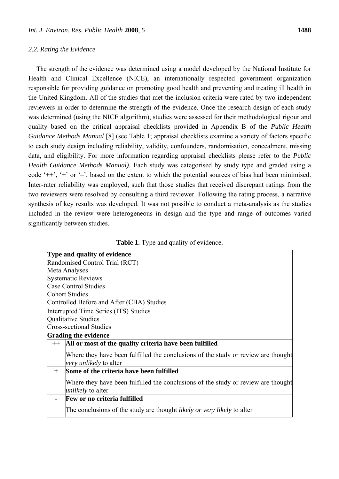#### *2.2. Rating the Evidence*

The strength of the evidence was determined using a model developed by the National Institute for Health and Clinical Excellence (NICE), an internationally respected government organization responsible for providing guidance on promoting good health and preventing and treating ill health in the United Kingdom. All of the studies that met the inclusion criteria were rated by two independent reviewers in order to determine the strength of the evidence. Once the research design of each study was determined (using the NICE algorithm), studies were assessed for their methodological rigour and quality based on the critical appraisal checklists provided in Appendix B of the *Public Health Guidance Methods Manual* [8] (see Table 1; appraisal checklists examine a variety of factors specific to each study design including reliability, validity, confounders, randomisation, concealment, missing data, and eligibility. For more information regarding appraisal checklists please refer to the *Public Health Guidance Methods Manual).* Each study was categorised by study type and graded using a code '++', '+' or '–', based on the extent to which the potential sources of bias had been minimised. Inter-rater reliability was employed, such that those studies that received discrepant ratings from the two reviewers were resolved by consulting a third reviewer. Following the rating process, a narrative synthesis of key results was developed. It was not possible to conduct a meta-analysis as the studies included in the review were heterogeneous in design and the type and range of outcomes varied significantly between studies.

| Type and quality of evidence                                                      |
|-----------------------------------------------------------------------------------|
| Randomised Control Trial (RCT)                                                    |
| Meta Analyses                                                                     |
| <b>Systematic Reviews</b>                                                         |
| <b>Case Control Studies</b>                                                       |
| <b>Cohort Studies</b>                                                             |
| Controlled Before and After (CBA) Studies                                         |
| Interrupted Time Series (ITS) Studies                                             |
| Qualitative Studies                                                               |
| <b>Cross-sectional Studies</b>                                                    |
| <b>Grading the evidence</b>                                                       |
| All or most of the quality criteria have been fulfilled<br>$++$                   |
| Where they have been fulfilled the conclusions of the study or review are thought |
| <i>very unlikely</i> to alter                                                     |
| Some of the criteria have been fulfilled<br>$+$                                   |
| Where they have been fulfilled the conclusions of the study or review are thought |
| unlikely to alter                                                                 |
| Few or no criteria fulfilled                                                      |
| The conclusions of the study are thought <i>likely or very likely</i> to alter    |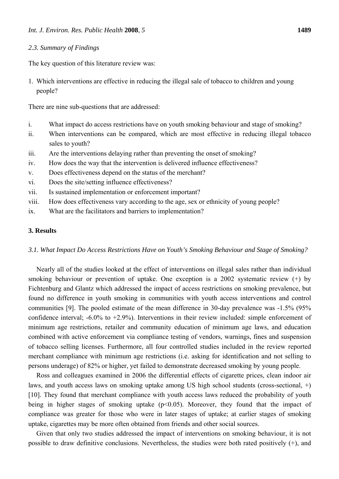#### *2.3. Summary of Findings*

The key question of this literature review was:

1. Which interventions are effective in reducing the illegal sale of tobacco to children and young people?

There are nine sub-questions that are addressed:

- i. What impact do access restrictions have on youth smoking behaviour and stage of smoking?
- ii. When interventions can be compared, which are most effective in reducing illegal tobacco sales to youth?
- iii. Are the interventions delaying rather than preventing the onset of smoking?
- iv. How does the way that the intervention is delivered influence effectiveness?
- v. Does effectiveness depend on the status of the merchant?
- vi. Does the site/setting influence effectiveness?
- vii. Is sustained implementation or enforcement important?
- viii. How does effectiveness vary according to the age, sex or ethnicity of young people?
- ix. What are the facilitators and barriers to implementation?

### **3. Results**

#### *3.1. What Impact Do Access Restrictions Have on Youth's Smoking Behaviour and Stage of Smoking?*

Nearly all of the studies looked at the effect of interventions on illegal sales rather than individual smoking behaviour or prevention of uptake. One exception is a 2002 systematic review (+) by Fichtenburg and Glantz which addressed the impact of access restrictions on smoking prevalence, but found no difference in youth smoking in communities with youth access interventions and control communities [9]. The pooled estimate of the mean difference in 30-day prevalence was -1.5% (95% confidence interval; -6.0% to +2.9%). Interventions in their review included: simple enforcement of minimum age restrictions, retailer and community education of minimum age laws, and education combined with active enforcement via compliance testing of vendors, warnings, fines and suspension of tobacco selling licenses. Furthermore, all four controlled studies included in the review reported merchant compliance with minimum age restrictions (i.e. asking for identification and not selling to persons underage) of 82% or higher, yet failed to demonstrate decreased smoking by young people.

Ross and colleagues examined in 2006 the differential effects of cigarette prices, clean indoor air laws, and youth access laws on smoking uptake among US high school students (cross-sectional, +) [10]. They found that merchant compliance with youth access laws reduced the probability of youth being in higher stages of smoking uptake  $(p<0.05)$ . Moreover, they found that the impact of compliance was greater for those who were in later stages of uptake; at earlier stages of smoking uptake, cigarettes may be more often obtained from friends and other social sources.

Given that only two studies addressed the impact of interventions on smoking behaviour, it is not possible to draw definitive conclusions. Nevertheless, the studies were both rated positively (+), and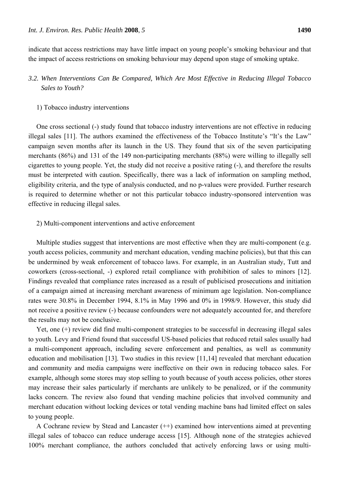indicate that access restrictions may have little impact on young people's smoking behaviour and that the impact of access restrictions on smoking behaviour may depend upon stage of smoking uptake.

## *3.2. When Interventions Can Be Compared, Which Are Most Effective in Reducing Illegal Tobacco Sales to Youth?*

1) Tobacco industry interventions

One cross sectional (-) study found that tobacco industry interventions are not effective in reducing illegal sales [11]. The authors examined the effectiveness of the Tobacco Institute's "It's the Law" campaign seven months after its launch in the US. They found that six of the seven participating merchants (86%) and 131 of the 149 non-participating merchants (88%) were willing to illegally sell cigarettes to young people. Yet, the study did not receive a positive rating (-), and therefore the results must be interpreted with caution. Specifically, there was a lack of information on sampling method, eligibility criteria, and the type of analysis conducted, and no p-values were provided. Further research is required to determine whether or not this particular tobacco industry-sponsored intervention was effective in reducing illegal sales.

2) Multi-component interventions and active enforcement

Multiple studies suggest that interventions are most effective when they are multi-component (e.g. youth access policies, community and merchant education, vending machine policies), but that this can be undermined by weak enforcement of tobacco laws. For example, in an Australian study, Tutt and coworkers (cross-sectional, -) explored retail compliance with prohibition of sales to minors [12]. Findings revealed that compliance rates increased as a result of publicised prosecutions and initiation of a campaign aimed at increasing merchant awareness of minimum age legislation. Non-compliance rates were 30.8% in December 1994, 8.1% in May 1996 and 0% in 1998/9. However, this study did not receive a positive review (-) because confounders were not adequately accounted for, and therefore the results may not be conclusive.

Yet, one (+) review did find multi-component strategies to be successful in decreasing illegal sales to youth. Levy and Friend found that successful US-based policies that reduced retail sales usually had a multi-component approach, including severe enforcement and penalties, as well as community education and mobilisation [13]. Two studies in this review [11,14] revealed that merchant education and community and media campaigns were ineffective on their own in reducing tobacco sales. For example, although some stores may stop selling to youth because of youth access policies, other stores may increase their sales particularly if merchants are unlikely to be penalized, or if the community lacks concern. The review also found that vending machine policies that involved community and merchant education without locking devices or total vending machine bans had limited effect on sales to young people.

A Cochrane review by Stead and Lancaster (++) examined how interventions aimed at preventing illegal sales of tobacco can reduce underage access [15]. Although none of the strategies achieved 100% merchant compliance, the authors concluded that actively enforcing laws or using multi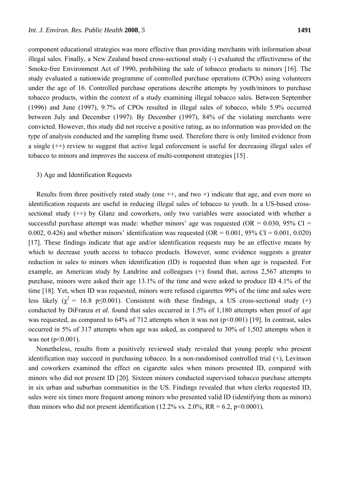component educational strategies was more effective than providing merchants with information about illegal sales. Finally, a New Zealand based cross-sectional study (-) evaluated the effectiveness of the Smoke-free Environment Act of 1990, prohibiting the sale of tobacco products to minors [16]. The study evaluated a nationwide programme of controlled purchase operations (CPOs) using volunteers under the age of 16. Controlled purchase operations describe attempts by youth/minors to purchase tobacco products, within the context of a study examining illegal tobacco sales. Between September (1996) and June (1997), 9.7% of CPOs resulted in illegal sales of tobacco, while 5.9% occurred between July and December (1997). By December (1997), 84% of the violating merchants were convicted. However, this study did not receive a positive rating, as no information was provided on the type of analysis conducted and the sampling frame used. Therefore there is only limited evidence from a single (++) review to suggest that active legal enforcement is useful for decreasing illegal sales of tobacco to minors and improves the success of multi-component strategies [15] .

#### 3) Age and Identification Requests

Results from three positively rated study (one  $++$ , and two  $+)$  indicate that age, and even more so identification requests are useful in reducing illegal sales of tobacco to youth. In a US-based crosssectional study (++) by Glanz and coworkers, only two variables were associated with whether a successful purchase attempt was made: whether minors' age was requested (OR =  $0.030$ ,  $95\%$  CI = 0.002, 0.426) and whether minors' identification was requested (OR =  $0.001$ , 95% CI =  $0.001$ , 0.020) [17]. These findings indicate that age and/or identification requests may be an effective means by which to decrease youth access to tobacco products. However, some evidence suggests a greater reduction in sales to minors when identification (ID) is requested than when age is requested. For example, an American study by Landrine and colleagues (+) found that, across 2,567 attempts to purchase, minors were asked their age 13.1% of the time and were asked to produce ID 4.1% of the time [18]. Yet, when ID was requested, minors were refused cigarettes 99% of the time and sales were less likely ( $\chi^2$  = 16.8 p≤0.001). Consistent with these findings, a US cross-sectional study (+) conducted by DiFranza *et al.* found that sales occurred in 1.5% of 1,180 attempts when proof of age was requested, as compared to  $64\%$  of 712 attempts when it was not  $(p<0.001)$  [19]. In contrast, sales occurred in 5% of 317 attempts when age was asked, as compared to 30% of 1,502 attempts when it was not  $(p<0.001)$ .

Nonetheless, results from a positively reviewed study revealed that young people who present identification may succeed in purchasing tobacco. In a non-randomised controlled trial (+), Levinson and coworkers examined the effect on cigarette sales when minors presented ID, compared with minors who did not present ID [20]. Sixteen minors conducted supervised tobacco purchase attempts in six urban and suburban communities in the US. Findings revealed that when clerks requested ID, sales were six times more frequent among minors who presented valid ID (identifying them as minors) than minors who did not present identification (12.2% vs. 2.0%,  $RR = 6.2$ , p<0.0001).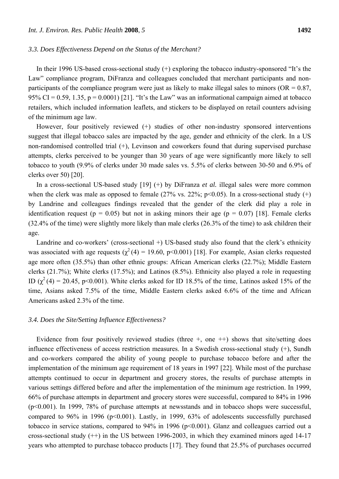#### *3.3. Does Effectiveness Depend on the Status of the Merchant?*

In their 1996 US-based cross-sectional study (+) exploring the tobacco industry-sponsored "It's the Law" compliance program, DiFranza and colleagues concluded that merchant participants and nonparticipants of the compliance program were just as likely to make illegal sales to minors ( $OR = 0.87$ , 95% CI = 0.59, 1.35, p = 0.0001) [21]. "It's the Law" was an informational campaign aimed at tobacco retailers, which included information leaflets, and stickers to be displayed on retail counters advising of the minimum age law.

However, four positively reviewed (+) studies of other non-industry sponsored interventions suggest that illegal tobacco sales are impacted by the age, gender and ethnicity of the clerk. In a US non-randomised controlled trial (+), Levinson and coworkers found that during supervised purchase attempts, clerks perceived to be younger than 30 years of age were significantly more likely to sell tobacco to youth (9.9% of clerks under 30 made sales vs. 5.5% of clerks between 30-50 and 6.9% of clerks over 50) [20].

In a cross-sectional US-based study [19] (+) by DiFranza *et al.* illegal sales were more common when the clerk was male as opposed to female  $(27\% \text{ vs. } 22\%; \text{ p} < 0.05)$ . In a cross-sectional study (+) by Landrine and colleagues findings revealed that the gender of the clerk did play a role in identification request ( $p = 0.05$ ) but not in asking minors their age ( $p = 0.07$ ) [18]. Female clerks (32.4% of the time) were slightly more likely than male clerks (26.3% of the time) to ask children their age.

Landrine and co-workers' (cross-sectional +) US-based study also found that the clerk's ethnicity was associated with age requests  $\chi^2(4) = 19.60$ , p<0.001) [18]. For example, Asian clerks requested age more often (35.5%) than other ethnic groups: African American clerks (22.7%); Middle Eastern clerks (21.7%); White clerks (17.5%); and Latinos (8.5%). Ethnicity also played a role in requesting ID  $(\chi^2(4) = 20.45, \text{ p} < 0.001)$ . White clerks asked for ID 18.5% of the time, Latinos asked 15% of the time, Asians asked 7.5% of the time, Middle Eastern clerks asked 6.6% of the time and African Americans asked 2.3% of the time.

#### *3.4. Does the Site/Setting Influence Effectiveness?*

Evidence from four positively reviewed studies (three  $+$ , one  $++$ ) shows that site/setting does influence effectiveness of access restriction measures. In a Swedish cross-sectional study (+), Sundh and co-workers compared the ability of young people to purchase tobacco before and after the implementation of the minimum age requirement of 18 years in 1997 [22]. While most of the purchase attempts continued to occur in department and grocery stores, the results of purchase attempts in various settings differed before and after the implementation of the minimum age restriction. In 1999, 66% of purchase attempts in department and grocery stores were successful, compared to 84% in 1996 (p<0.001). In 1999, 78% of purchase attempts at newsstands and in tobacco shops were successful, compared to 96% in 1996 (p<0.001). Lastly, in 1999, 63% of adolescents successfully purchased tobacco in service stations, compared to 94% in 1996 (p<0.001). Glanz and colleagues carried out a cross-sectional study  $(++)$  in the US between 1996-2003, in which they examined minors aged 14-17 years who attempted to purchase tobacco products [17]. They found that 25.5% of purchases occurred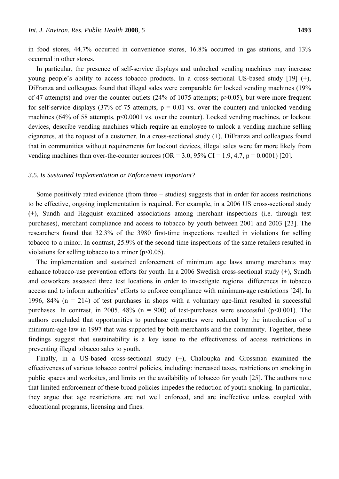in food stores, 44.7% occurred in convenience stores, 16.8% occurred in gas stations, and 13% occurred in other stores.

In particular, the presence of self-service displays and unlocked vending machines may increase young people's ability to access tobacco products. In a cross-sectional US-based study [19] (+), DiFranza and colleagues found that illegal sales were comparable for locked vending machines (19% of 47 attempts) and over-the-counter outlets (24% of 1075 attempts; p>0.05), but were more frequent for self-service displays (37% of 75 attempts,  $p = 0.01$  vs. over the counter) and unlocked vending machines (64% of 58 attempts, p<0.0001 vs. over the counter). Locked vending machines, or lockout devices, describe vending machines which require an employee to unlock a vending machine selling cigarettes, at the request of a customer. In a cross-sectional study (+), DiFranza and colleagues found that in communities without requirements for lockout devices, illegal sales were far more likely from vending machines than over-the-counter sources (OR = 3.0, 95% CI = 1.9, 4.7,  $p = 0.0001$ ) [20].

#### *3.5. Is Sustained Implementation or Enforcement Important?*

Some positively rated evidence (from three  $+$  studies) suggests that in order for access restrictions to be effective, ongoing implementation is required. For example, in a 2006 US cross-sectional study (+), Sundh and Hagquist examined associations among merchant inspections (i.e. through test purchases), merchant compliance and access to tobacco by youth between 2001 and 2003 [23]. The researchers found that 32.3% of the 3980 first-time inspections resulted in violations for selling tobacco to a minor. In contrast, 25.9% of the second-time inspections of the same retailers resulted in violations for selling tobacco to a minor  $(p<0.05)$ .

The implementation and sustained enforcement of minimum age laws among merchants may enhance tobacco-use prevention efforts for youth. In a 2006 Swedish cross-sectional study (+), Sundh and coworkers assessed three test locations in order to investigate regional differences in tobacco access and to inform authorities' efforts to enforce compliance with minimum-age restrictions [24]. In 1996, 84% ( $n = 214$ ) of test purchases in shops with a voluntary age-limit resulted in successful purchases. In contrast, in 2005, 48% ( $n = 900$ ) of test-purchases were successful ( $p < 0.001$ ). The authors concluded that opportunities to purchase cigarettes were reduced by the introduction of a minimum-age law in 1997 that was supported by both merchants and the community. Together, these findings suggest that sustainability is a key issue to the effectiveness of access restrictions in preventing illegal tobacco sales to youth.

Finally, in a US-based cross-sectional study (+), Chaloupka and Grossman examined the effectiveness of various tobacco control policies, including: increased taxes, restrictions on smoking in public spaces and worksites, and limits on the availability of tobacco for youth [25]. The authors note that limited enforcement of these broad policies impedes the reduction of youth smoking. In particular, they argue that age restrictions are not well enforced, and are ineffective unless coupled with educational programs, licensing and fines.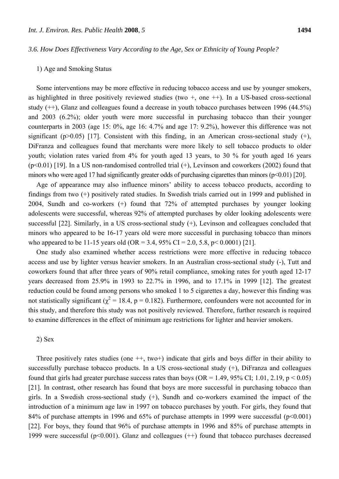#### *3.6. How Does Effectiveness Vary According to the Age, Sex or Ethnicity of Young People?*

#### 1) Age and Smoking Status

Some interventions may be more effective in reducing tobacco access and use by younger smokers, as highlighted in three positively reviewed studies (two  $+$ , one  $++$ ). In a US-based cross-sectional study (++), Glanz and colleagues found a decrease in youth tobacco purchases between 1996 (44.5%) and 2003 (6.2%); older youth were more successful in purchasing tobacco than their younger counterparts in 2003 (age 15: 0%, age 16: 4.7% and age 17: 9.2%), however this difference was not significant (p>0.05) [17]. Consistent with this finding, in an American cross-sectional study  $(+)$ , DiFranza and colleagues found that merchants were more likely to sell tobacco products to older youth; violation rates varied from 4% for youth aged 13 years, to 30 % for youth aged 16 years  $(p<0.01)$  [19]. In a US non-randomised controlled trial  $(+)$ , Levinson and coworkers (2002) found that minors who were aged 17 had significantly greater odds of purchasing cigarettes than minors ( $p<0.01$ ) [20].

Age of appearance may also influence minors' ability to access tobacco products, according to findings from two (+) positively rated studies. In Swedish trials carried out in 1999 and published in 2004, Sundh and co-workers (+) found that 72% of attempted purchases by younger looking adolescents were successful, whereas 92% of attempted purchases by older looking adolescents were successful [22]. Similarly, in a US cross-sectional study (+), Levinson and colleagues concluded that minors who appeared to be 16-17 years old were more successful in purchasing tobacco than minors who appeared to be 11-15 years old (OR = 3.4, 95% CI = 2.0, 5.8, p < 0.0001) [21].

One study also examined whether access restrictions were more effective in reducing tobacco access and use by lighter versus heavier smokers. In an Australian cross-sectional study (-), Tutt and coworkers found that after three years of 90% retail compliance, smoking rates for youth aged 12-17 years decreased from 25.9% in 1993 to 22.7% in 1996, and to 17.1% in 1999 [12]. The greatest reduction could be found among persons who smoked 1 to 5 cigarettes a day, however this finding was not statistically significant ( $\chi^2$  = 18.4, p = 0.182). Furthermore, confounders were not accounted for in this study, and therefore this study was not positively reviewed. Therefore, further research is required to examine differences in the effect of minimum age restrictions for lighter and heavier smokers.

#### 2) Sex

Three positively rates studies (one  $++$ , two+) indicate that girls and boys differ in their ability to successfully purchase tobacco products. In a US cross-sectional study (+), DiFranza and colleagues found that girls had greater purchase success rates than boys (OR = 1.49, 95% CI; 1.01, 2.19,  $p < 0.05$ ) [21]. In contrast, other research has found that boys are more successful in purchasing tobacco than girls. In a Swedish cross-sectional study (+), Sundh and co-workers examined the impact of the introduction of a minimum age law in 1997 on tobacco purchases by youth. For girls, they found that 84% of purchase attempts in 1996 and 65% of purchase attempts in 1999 were successful (p<0.001) [22]. For boys, they found that 96% of purchase attempts in 1996 and 85% of purchase attempts in 1999 were successful (p<0.001). Glanz and colleagues (++) found that tobacco purchases decreased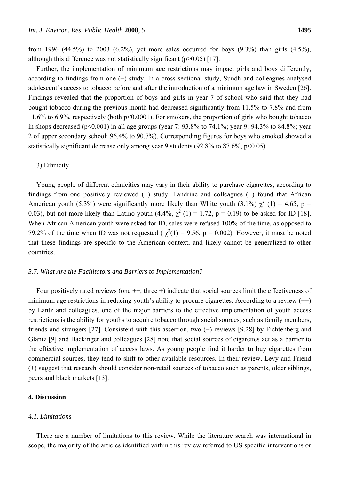from 1996 (44.5%) to 2003 (6.2%), yet more sales occurred for boys (9.3%) than girls (4.5%), although this difference was not statistically significant ( $p>0.05$ ) [17].

Further, the implementation of minimum age restrictions may impact girls and boys differently, according to findings from one (+) study. In a cross-sectional study, Sundh and colleagues analysed adolescent's access to tobacco before and after the introduction of a minimum age law in Sweden [26]. Findings revealed that the proportion of boys and girls in year 7 of school who said that they had bought tobacco during the previous month had decreased significantly from 11.5% to 7.8% and from 11.6% to 6.9%, respectively (both p<0.0001). For smokers, the proportion of girls who bought tobacco in shops decreased ( $p<0.001$ ) in all age groups (year 7: 93.8% to 74.1%; year 9: 94.3% to 84.8%; year 2 of upper secondary school: 96.4% to 90.7%). Corresponding figures for boys who smoked showed a statistically significant decrease only among year 9 students  $(92.8\%$  to  $87.6\%, p<0.05)$ .

#### 3) Ethnicity

Young people of different ethnicities may vary in their ability to purchase cigarettes, according to findings from one positively reviewed (+) study. Landrine and colleagues (+) found that African American youth (5.3%) were significantly more likely than White youth (3.1%)  $\chi^2$  (1) = 4.65, p = 0.03), but not more likely than Latino youth  $(4.4\%, \chi^2(1) = 1.72, p = 0.19)$  to be asked for ID [18]. When African American youth were asked for ID, sales were refused 100% of the time, as opposed to 79.2% of the time when ID was not requested ( $\chi^2(1) = 9.56$ , p = 0.002). However, it must be noted that these findings are specific to the American context, and likely cannot be generalized to other countries.

#### *3.7. What Are the Facilitators and Barriers to Implementation?*

Four positively rated reviews (one  $++$ , three  $+$ ) indicate that social sources limit the effectiveness of minimum age restrictions in reducing youth's ability to procure cigarettes. According to a review  $(++)$ by Lantz and colleagues, one of the major barriers to the effective implementation of youth access restrictions is the ability for youths to acquire tobacco through social sources, such as family members, friends and strangers [27]. Consistent with this assertion, two (+) reviews [9,28] by Fichtenberg and Glantz [9] and Backinger and colleagues [28] note that social sources of cigarettes act as a barrier to the effective implementation of access laws. As young people find it harder to buy cigarettes from commercial sources, they tend to shift to other available resources. In their review, Levy and Friend (+) suggest that research should consider non-retail sources of tobacco such as parents, older siblings, peers and black markets [13].

#### **4. Discussion**

#### *4.1. Limitations*

There are a number of limitations to this review. While the literature search was international in scope, the majority of the articles identified within this review referred to US specific interventions or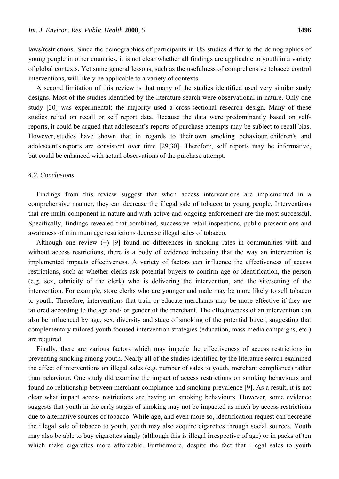laws/restrictions. Since the demographics of participants in US studies differ to the demographics of young people in other countries, it is not clear whether all findings are applicable to youth in a variety of global contexts. Yet some general lessons, such as the usefulness of comprehensive tobacco control interventions, will likely be applicable to a variety of contexts.

A second limitation of this review is that many of the studies identified used very similar study designs. Most of the studies identified by the literature search were observational in nature. Only one study [20] was experimental; the majority used a cross-sectional research design. Many of these studies relied on recall or self report data. Because the data were predominantly based on selfreports, it could be argued that adolescent's reports of purchase attempts may be subject to recall bias. However, studies have shown that in regards to their own smoking behaviour, children's and adolescent's reports are consistent over time [29,30]. Therefore, self reports may be informative, but could be enhanced with actual observations of the purchase attempt.

#### *4.2. Conclusions*

Findings from this review suggest that when access interventions are implemented in a comprehensive manner, they can decrease the illegal sale of tobacco to young people. Interventions that are multi-component in nature and with active and ongoing enforcement are the most successful. Specifically, findings revealed that combined, successive retail inspections, public prosecutions and awareness of minimum age restrictions decrease illegal sales of tobacco.

Although one review (+) [9] found no differences in smoking rates in communities with and without access restrictions, there is a body of evidence indicating that the way an intervention is implemented impacts effectiveness. A variety of factors can influence the effectiveness of access restrictions, such as whether clerks ask potential buyers to confirm age or identification, the person (e.g. sex, ethnicity of the clerk) who is delivering the intervention, and the site/setting of the intervention. For example, store clerks who are younger and male may be more likely to sell tobacco to youth. Therefore, interventions that train or educate merchants may be more effective if they are tailored according to the age and/ or gender of the merchant. The effectiveness of an intervention can also be influenced by age, sex, diversity and stage of smoking of the potential buyer, suggesting that complementary tailored youth focused intervention strategies (education, mass media campaigns, etc.) are required.

Finally, there are various factors which may impede the effectiveness of access restrictions in preventing smoking among youth. Nearly all of the studies identified by the literature search examined the effect of interventions on illegal sales (e.g. number of sales to youth, merchant compliance) rather than behaviour. One study did examine the impact of access restrictions on smoking behaviours and found no relationship between merchant compliance and smoking prevalence [9]. As a result, it is not clear what impact access restrictions are having on smoking behaviours. However, some evidence suggests that youth in the early stages of smoking may not be impacted as much by access restrictions due to alternative sources of tobacco. While age, and even more so, identification request can decrease the illegal sale of tobacco to youth, youth may also acquire cigarettes through social sources. Youth may also be able to buy cigarettes singly (although this is illegal irrespective of age) or in packs of ten which make cigarettes more affordable. Furthermore, despite the fact that illegal sales to youth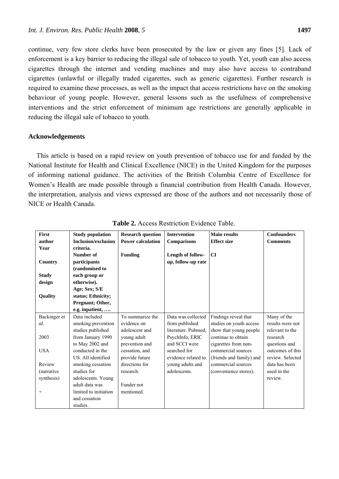continue, very few store clerks have been prosecuted by the law or given any fines [5]. Lack of enforcement is a key barrier to reducing the illegal sale of tobacco to youth. Yet, youth can also access cigarettes through the internet and vending machines and may also have access to contraband cigarettes (unlawful or illegally traded cigarettes, such as generic cigarettes). Further research is required to examine these processes, as well as the impact that access restrictions have on the smoking behaviour of young people. However, general lessons such as the usefulness of comprehensive interventions and the strict enforcement of minimum age restrictions are generally applicable in reducing the illegal sale of tobacco to youth.

#### **Acknowledgements**

This article is based on a rapid review on youth prevention of tobacco use for and funded by the National Institute for Health and Clinical Excellence (NICE) in the United Kingdom for the purposes of informing national guidance. The activities of the British Columbia Centre of Excellence for Women's Health are made possible through a financial contribution from Health Canada. However, the interpretation, analysis and views expressed are those of the authors and not necessarily those of NICE or Health Canada.

| <b>First</b> | <b>Study population</b>    | <b>Research question</b> | <b>Intervention</b> | <b>Main results</b>      | <b>Confounders</b> |
|--------------|----------------------------|--------------------------|---------------------|--------------------------|--------------------|
| author       | <b>Inclusion/exclusion</b> | <b>Power calculation</b> | Comparisons         | <b>Effect size</b>       | <b>Comments</b>    |
| Year         | criteria.                  |                          |                     |                          |                    |
|              | Number of                  | <b>Funding</b>           | Length of follow-   | CI                       |                    |
| Country      | participants               |                          | up, follow-up rate  |                          |                    |
|              | (randomised to             |                          |                     |                          |                    |
| <b>Study</b> | each group or              |                          |                     |                          |                    |
| design       | otherwise).                |                          |                     |                          |                    |
|              | Age; Sex; S/E              |                          |                     |                          |                    |
| Quality      | status; Ethnicity;         |                          |                     |                          |                    |
|              | Pregnant; Other,           |                          |                     |                          |                    |
|              | e.g. inpatient,            |                          |                     |                          |                    |
| Backinger et | Data included              | To summarize the         | Data was collected  | Findings reveal that     | Many of the        |
| al.          | smoking prevention         | evidence on              | from published      | studies on youth access  | results were not   |
|              | studies published          | adolescent and           | literature. Pubmed, | show that young people   | relevant to the    |
| 2003         | from January 1990          | young adult              | PsychInfo, ERIC     | continue to obtain       | research           |
|              | to May 2002 and            | prevention and           | and SCCI were       | cigarettes from non-     | questions and      |
| <b>USA</b>   | conducted in the           | cessation, and           | searched for        | commercial sources       | outcomes of this   |
|              | US. All identified         | provide future           | evidence related to | (friends and family) and | review. Selected   |
| Review       | smoking cessation          | directions for           | young adults and    | commercial sources       | data has been      |
| (narrative   | studies for                | research.                | adolescents.        | (convenience stores).    | used in the        |
| synthesis)   | adolescents. Young         |                          |                     |                          | review.            |
|              | adult data was             | Funder not               |                     |                          |                    |
| $^{+}$       | limited to initiation      | mentioned.               |                     |                          |                    |
|              | and cessation              |                          |                     |                          |                    |
|              | studies.                   |                          |                     |                          |                    |

**Table 2.** Access Restriction Evidence Table.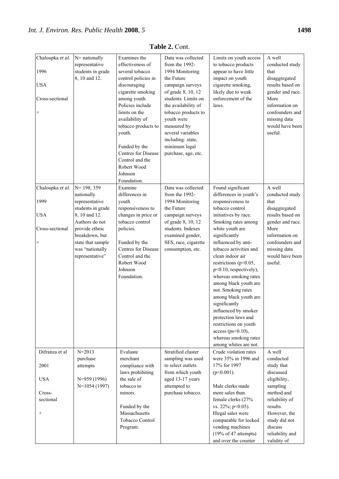| Chaloupka et al.<br>1996<br><b>USA</b><br>Cross-sectional<br>$^{+}$                   | $N=$ nationally<br>representative<br>students in grade<br>8, 10 and 12.                                                                                                                                             | Examines the<br>effectiveness of<br>several tobacco<br>control policies in<br>discouraging<br>cigarette smoking<br>among youth.<br>Policies include<br>limits on the<br>availability of<br>tobacco products to<br>youth.<br>Funded by the<br>Centres for Disease<br>Control and the<br>Robert Wood<br>Johnson<br>Foundation. | Data was collected<br>from the 1992-<br>1994 Monitoring<br>the Future<br>campaign surveys<br>of grade 8, 10, 12<br>students. Limits on<br>the availability of<br>tobacco products to<br>youth were<br>measured by<br>several variables<br>including: state,<br>minimum legal<br>purchase, age, etc. | Limits on youth access<br>to tobacco products<br>appear to have little<br>impact on youth<br>cigarette smoking,<br>likely due to weak<br>enforcement of the<br>laws.                                                                                                                                                                                                                                                                                                                                                                                                                        | A well<br>conducted study<br>that<br>disaggregated<br>results based on<br>gender and race.<br>More<br>information on<br>confounders and<br>missing data<br>would have been<br>useful.           |
|---------------------------------------------------------------------------------------|---------------------------------------------------------------------------------------------------------------------------------------------------------------------------------------------------------------------|------------------------------------------------------------------------------------------------------------------------------------------------------------------------------------------------------------------------------------------------------------------------------------------------------------------------------|-----------------------------------------------------------------------------------------------------------------------------------------------------------------------------------------------------------------------------------------------------------------------------------------------------|---------------------------------------------------------------------------------------------------------------------------------------------------------------------------------------------------------------------------------------------------------------------------------------------------------------------------------------------------------------------------------------------------------------------------------------------------------------------------------------------------------------------------------------------------------------------------------------------|-------------------------------------------------------------------------------------------------------------------------------------------------------------------------------------------------|
| Chaloupka et al.<br>1999<br><b>USA</b><br>Cross-sectional<br>$^{+}$<br>Difranza et al | $N = 198, 359$<br>nationally<br>representative<br>students in grade<br>8, 10 and 12.<br>Authors do not<br>provide ethnic<br>breakdown, but<br>state that sample<br>was "nationally<br>representative"<br>$N = 2013$ | Examine<br>differences in<br>youth<br>responsiveness to<br>changes in price or<br>tobacco control<br>policies.<br>Funded by the<br>Centres for Disease<br>Control and the<br>Robert Wood<br>Johnson<br>Foundation.<br>Evaluate                                                                                               | Data was collected<br>from the 1992-<br>1994 Monitoring<br>the Future<br>campaign surveys<br>of grade 8, 10, 12<br>students. Indexes<br>examined gender,<br>SES, race, cigarette<br>consumption, etc.<br>Stratified cluster                                                                         | Found significant<br>differences in youth's<br>responsiveness to<br>tobacco control<br>initiatives by race.<br>Smoking rates among<br>white youth are<br>significantly<br>influenced by anti-<br>tobacco activities and<br>clean indoor air<br>restrictions (p<0.05,<br>p<0.10, respectively),<br>whereas smoking rates<br>among black youth are<br>not. Smoking rates<br>among black youth are<br>significantly<br>influenced by smoker<br>protection laws and<br>restrictions on youth<br>$access (ps<0.10)$ ,<br>whereas smoking rates<br>among whites are not.<br>Crude violation rates | A well<br>conducted study<br>that<br>disaggregated<br>results based on<br>gender and race.<br>More<br>information on<br>confounders and<br>missing data<br>would have been<br>useful.<br>A well |
| 2001<br><b>USA</b><br>Cross-<br>sectional<br>$^{+}$                                   | purchase<br>attempts<br>N=959 (1996)<br>N=1054 (1997)                                                                                                                                                               | merchant<br>compliance with<br>laws prohibiting<br>the sale of<br>tobacco to<br>minors.<br>Funded by the<br>Massachusetts<br>Tobacco Control<br>Program.                                                                                                                                                                     | sampling was used<br>to select outlets<br>from which youth<br>aged 13-17 years<br>attempted to<br>purchase tobacco.                                                                                                                                                                                 | were 35% in 1996 and<br>17% for 1997<br>$(p<0.001)$ .<br>Male clerks made<br>more sales than<br>female clerks (27%<br>vs. 22%; p<0.05).<br>Illegal sales were<br>comparable for locked<br>vending machines<br>(19% of 47 attempts)<br>and over the counter                                                                                                                                                                                                                                                                                                                                  | conducted<br>study that<br>discussed<br>eligibility,<br>sampling<br>method and<br>reliability of<br>results.<br>However, the<br>study did not<br>discuss<br>reliability and<br>validity of      |

**Table 2.** Cont.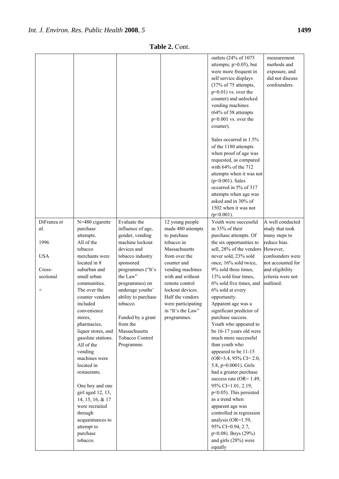**Table 2.** Cont.

|                                                                           |                                                                                                                                                                                                                                                                                                                                                                                                                                                                                                                   |                                                                                                                                                                                                                                                                                                                      |                                                                                                                                                                                                                                                                                | outlets (24% of 1075<br>attempts; $p>0.05$ ), but<br>were more frequent in<br>self service displays<br>(37% of 75 attempts,<br>$p=0.01$ ) vs. over the<br>counter) and unlocked<br>vending machines<br>(64% of 58 attempts<br>$p<0.001$ vs. over the<br>counter).<br>Sales occurred in 1.5%<br>of the 1180 attempts<br>when proof of age was<br>requested, as compared<br>with 64% of the 712<br>attempts when it was not<br>$(p<0.001)$ . Sales<br>occurred in 5% of 317<br>attempts when age was<br>asked and in 30% of<br>1502 when it was not                                                                                                                                                                                                                                                                                                  | measurement<br>methods and<br>exposure, and<br>did not discuss<br>confounders.                                                                                                 |
|---------------------------------------------------------------------------|-------------------------------------------------------------------------------------------------------------------------------------------------------------------------------------------------------------------------------------------------------------------------------------------------------------------------------------------------------------------------------------------------------------------------------------------------------------------------------------------------------------------|----------------------------------------------------------------------------------------------------------------------------------------------------------------------------------------------------------------------------------------------------------------------------------------------------------------------|--------------------------------------------------------------------------------------------------------------------------------------------------------------------------------------------------------------------------------------------------------------------------------|----------------------------------------------------------------------------------------------------------------------------------------------------------------------------------------------------------------------------------------------------------------------------------------------------------------------------------------------------------------------------------------------------------------------------------------------------------------------------------------------------------------------------------------------------------------------------------------------------------------------------------------------------------------------------------------------------------------------------------------------------------------------------------------------------------------------------------------------------|--------------------------------------------------------------------------------------------------------------------------------------------------------------------------------|
| DiFranza et<br>al.<br>1996<br><b>USA</b><br>Cross-<br>sectional<br>$^{+}$ | N=480 cigarette<br>purchase<br>attempts.<br>All of the<br>tobacco<br>merchants were<br>located in 8<br>suburban and<br>small urban<br>communities.<br>The over the<br>counter vendors<br>included<br>convenience<br>stores,<br>pharmacies,<br>liquor stores, and<br>gasoline stations.<br>All of the<br>vending<br>machines were<br>located in<br>restaurants.<br>One boy and one<br>girl aged 12, 13,<br>14, 15, 16, & 17<br>were recruited<br>through<br>acquaintances to<br>attempt to<br>purchase<br>tobacco. | Evaluate the<br>influence of age,<br>gender, vending<br>machine lockout<br>devices and<br>tobacco industry<br>sponsored<br>programmes ("It's<br>the Law"<br>programmes) on<br>underage youths'<br>ability to purchase<br>tobacco.<br>Funded by a grant<br>from the<br>Massachusetts<br>Tobacco Control<br>Programme. | 12 young people<br>made 480 attempts<br>to purchase<br>tobacco in<br>Massachusetts<br>from over the<br>counter and<br>vending machines<br>with and without<br>remote control<br>lockout devices.<br>Half the vendors<br>were participating<br>in "It's the Law"<br>programmes. | $(p<0.001)$ .<br>Youth were successful<br>in 33% of their<br>purchase attempts. Of<br>the six opportunities to<br>sell, 28% of the vendors<br>never sold, 23% sold<br>once, 16% sold twice,<br>9% sold three times,<br>13% sold four times,<br>6% sold five times, and<br>6% sold at every<br>opportunity.<br>Apparent age was a<br>significant predictor of<br>purchase success.<br>Youth who appeared to<br>be 16-17 years old were<br>much more successful<br>than youth who<br>appeared to be 11-15<br>$(OR=3.4, 95\% CI=2.0,$<br>5.8, p=0.0001). Girls<br>had a greater purchase<br>success rate (OR= $1.49$ ,<br>95% CI=1.01, 2.19,<br>$p<0.05$ ). This persisted<br>as a trend when<br>apparent age was<br>controlled in regression<br>analysis (OR=1.59,<br>95% CI=0.94, 2.7,<br>$p=0.08$ ). Boys (29%)<br>and girls (28%) were<br>equally | A well conducted<br>study that took<br>many steps to<br>reduce bias.<br>However,<br>confounders were<br>not accounted for<br>and eligibility<br>criteria were not<br>outlined. |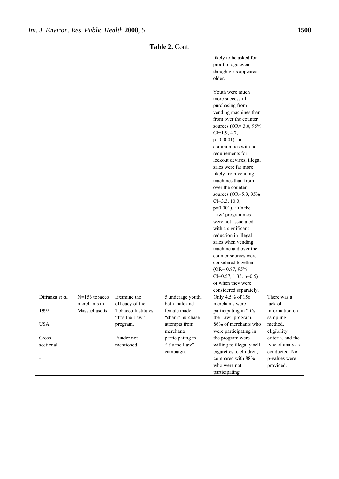**Table 2.** Cont.

|                 |               |                    |                             | likely to be asked for<br>proof of age even          |                                   |
|-----------------|---------------|--------------------|-----------------------------|------------------------------------------------------|-----------------------------------|
|                 |               |                    |                             | though girls appeared                                |                                   |
|                 |               |                    |                             | older.                                               |                                   |
|                 |               |                    |                             | Youth were much                                      |                                   |
|                 |               |                    |                             | more successful                                      |                                   |
|                 |               |                    |                             | purchasing from                                      |                                   |
|                 |               |                    |                             | vending machines than                                |                                   |
|                 |               |                    |                             | from over the counter                                |                                   |
|                 |               |                    |                             | sources (OR= $3.0, 95\%$                             |                                   |
|                 |               |                    |                             | $CI=1.9, 4.7,$<br>$p=0.0001$ ). In                   |                                   |
|                 |               |                    |                             | communities with no                                  |                                   |
|                 |               |                    |                             | requirements for                                     |                                   |
|                 |               |                    |                             | lockout devices, illegal                             |                                   |
|                 |               |                    |                             | sales were far more                                  |                                   |
|                 |               |                    |                             | likely from vending                                  |                                   |
|                 |               |                    |                             | machines than from                                   |                                   |
|                 |               |                    |                             | over the counter                                     |                                   |
|                 |               |                    |                             | sources (OR=5.9, 95%                                 |                                   |
|                 |               |                    |                             | $CI=3.3, 10.3,$                                      |                                   |
|                 |               |                    |                             | $p=0.001$ ). 'It's the<br>Law' programmes            |                                   |
|                 |               |                    |                             | were not associated                                  |                                   |
|                 |               |                    |                             | with a significant                                   |                                   |
|                 |               |                    |                             | reduction in illegal                                 |                                   |
|                 |               |                    |                             | sales when vending                                   |                                   |
|                 |               |                    |                             | machine and over the                                 |                                   |
|                 |               |                    |                             | counter sources were                                 |                                   |
|                 |               |                    |                             | considered together                                  |                                   |
|                 |               |                    |                             | $(OR = 0.87, 95\%$                                   |                                   |
|                 |               |                    |                             | $CI=0.57, 1.35, p=0.5)$                              |                                   |
|                 |               |                    |                             | or when they were<br>considered separately.          |                                   |
| Difranza et al. | N=156 tobacco | Examine the        | 5 underage youth,           | Only 4.5% of 156                                     | There was a                       |
|                 | merchants in  | efficacy of the    | both male and               | merchants were                                       | lack of                           |
| 1992            | Massachusetts | Tobacco Institutes | female made                 | participating in "It's                               | information on                    |
|                 |               | "It's the Law"     | "sham" purchase             | the Law" program.                                    | sampling                          |
| <b>USA</b>      |               | program.           | attempts from               | 86% of merchants who                                 | method,                           |
|                 |               |                    | merchants                   | were participating in                                | eligibility                       |
| Cross-          |               | Funder not         | participating in            | the program were                                     | criteria, and the                 |
| sectional       |               | mentioned.         | "It's the Law"<br>campaign. | willing to illegally sell<br>cigarettes to children, | type of analysis<br>conducted. No |
|                 |               |                    |                             | compared with 88%                                    | p-values were                     |
|                 |               |                    |                             | who were not                                         | provided.                         |
|                 |               |                    |                             | participating.                                       |                                   |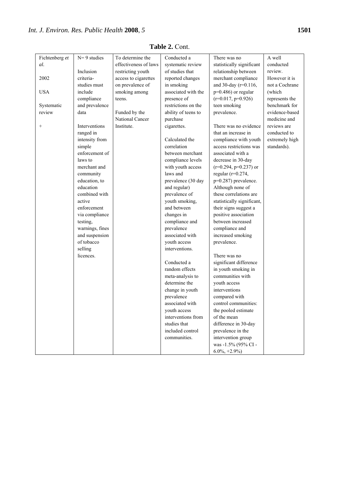| Fichtenberg et | $N=9$ studies        | To determine the      | Conducted a         | There was no               | A well         |
|----------------|----------------------|-----------------------|---------------------|----------------------------|----------------|
| al.            |                      | effectiveness of laws | systematic review   | statistically significant  | conducted      |
|                | Inclusion            | restricting youth     | of studies that     | relationship between       | review.        |
| 2002           | criteria-            |                       |                     |                            | However it is  |
|                |                      | access to cigarettes  | reported changes    | merchant compliance        |                |
|                | studies must         | on prevalence of      | in smoking          | and 30-day ( $r=0.116$ ,   | not a Cochrane |
| <b>USA</b>     | include              | smoking among         | associated with the | $p=0.486$ ) or regular     | (which         |
|                | compliance           | teens.                | presence of         | $(r=0.017, p=0.926)$       | represents the |
| Systematic     | and prevalence       |                       | restrictions on the | teen smoking               | benchmark for  |
| review         | data                 | Funded by the         | ability of teens to | prevalence.                | evidence-based |
|                |                      | National Cancer       | purchase            |                            | medicine and   |
| $^{+}$         | <b>Interventions</b> | Institute.            | cigarettes.         | There was no evidence      | reviews are    |
|                | ranged in            |                       |                     | that an increase in        | conducted to   |
|                | intensity from       |                       | Calculated the      | compliance with youth      | extremely high |
|                | simple               |                       | correlation         | access restrictions was    | standards).    |
|                | enforcement of       |                       | between merchant    | associated with a          |                |
|                | laws to              |                       | compliance levels   | decrease in 30-day         |                |
|                | merchant and         |                       | with youth access   | $(r=0.294, p=0.237)$ or    |                |
|                | community            |                       | laws and            | regular ( $r=0.274$ ,      |                |
|                | education, to        |                       | prevalence (30 day  | $p=0.287$ ) prevalence.    |                |
|                | education            |                       | and regular)        | Although none of           |                |
|                | combined with        |                       | prevalence of       | these correlations are     |                |
|                | active               |                       | youth smoking,      | statistically significant, |                |
|                | enforcement          |                       | and between         | their signs suggest a      |                |
|                | via compliance       |                       | changes in          | positive association       |                |
|                | testing,             |                       | compliance and      | between increased          |                |
|                | warnings, fines      |                       | prevalence          | compliance and             |                |
|                | and suspension       |                       | associated with     | increased smoking          |                |
|                | of tobacco           |                       | youth access        | prevalence.                |                |
|                | selling              |                       | interventions.      |                            |                |
|                | licences.            |                       |                     | There was no               |                |
|                |                      |                       | Conducted a         | significant difference     |                |
|                |                      |                       | random effects      | in youth smoking in        |                |
|                |                      |                       | meta-analysis to    | communities with           |                |
|                |                      |                       | determine the       | youth access               |                |
|                |                      |                       | change in youth     | interventions              |                |
|                |                      |                       | prevalence          | compared with              |                |
|                |                      |                       | associated with     | control communities:       |                |
|                |                      |                       | youth access        | the pooled estimate        |                |
|                |                      |                       | interventions from  | of the mean                |                |
|                |                      |                       | studies that        | difference in 30-day       |                |
|                |                      |                       | included control    | prevalence in the          |                |
|                |                      |                       | communities.        | intervention group         |                |
|                |                      |                       |                     | was -1.5% (95% CI -        |                |
|                |                      |                       |                     | $6.0\%, +2.9\%)$           |                |
|                |                      |                       |                     |                            |                |

**Table 2.** Cont.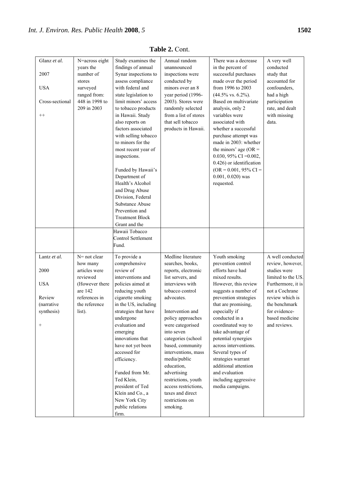| N=across eight<br>Annual random<br>A very well<br>findings of annual<br>unannounced<br>in the percent of<br>conducted<br>years the<br>number of<br>Synar inspections to<br>2007<br>inspections were<br>successful purchases<br>study that<br>assess compliance<br>made over the period<br>conducted by<br>accounted for<br>stores<br>minors over an 8<br>with federal and<br>from 1996 to 2003<br>confounders,<br><b>USA</b><br>surveyed<br>ranged from:<br>state legislation to<br>year period (1996-<br>$(44.5\%$ vs. 6.2%).<br>had a high<br>448 in 1998 to<br>Cross-sectional<br>limit minors' access<br>2003). Stores were<br>Based on multivariate<br>participation<br>209 in 2003<br>to tobacco products<br>randomly selected<br>analysis, only 2<br>rate, and dealt<br>from a list of stores<br>with missing<br>in Hawaii. Study<br>variables were<br>$^{++}$<br>associated with<br>data.<br>also reports on<br>that sell tobacco<br>factors associated<br>products in Hawaii.<br>whether a successful<br>with selling tobacco<br>purchase attempt was<br>to minors for the<br>made in 2003: whether<br>most recent year of<br>the minors' age ( $OR =$<br>inspections.<br>0.030, 95% CI = 0.002,<br>0.426) or identification<br>Funded by Hawaii's<br>$(OR = 0.001, 95\% CI =$<br>Department of<br>$0.001, 0.020$ ) was<br>Health's Alcohol<br>requested.<br>and Drug Abuse<br>Division, Federal<br><b>Substance Abuse</b><br>Prevention and<br><b>Treatment Block</b><br>Grant and the<br>Hawaii Tobacco<br>Control Settlement<br>Fund.<br>N= not clear<br>To provide a<br>Medline literature<br>A well conducted<br>Lantz et al.<br>Youth smoking<br>comprehensive<br>prevention control<br>how many<br>searches, books,<br>review, however,<br>articles were<br>review of<br>efforts have had<br>studies were<br>2000<br>reports, electronic<br>list servers, and<br>reviewed<br>interventions and<br>mixed results.<br>limited to the US.<br>interviews with<br><b>USA</b><br>(However there<br>policies aimed at<br>However, this review<br>Furthermore, it is<br>are 142<br>reducing youth<br>tobacco control<br>suggests a number of<br>not a Cochrane<br>cigarette smoking<br>Review<br>references in<br>prevention strategies<br>review which is<br>advocates.<br>the reference<br>in the US, including<br>that are promising,<br>(narrative<br>the benchmark<br>especially if<br>for evidence-<br>synthesis)<br>list).<br>strategies that have<br>Intervention and<br>conducted in a<br>undergone<br>policy approaches<br>based medicine<br>evaluation and<br>were categorised<br>coordinated way to<br>and reviews.<br>$^{+}$<br>emerging<br>into seven<br>take advantage of<br>innovations that<br>potential synergies<br>categories (school<br>based, community<br>across interventions.<br>have not yet been<br>accessed for<br>interventions, mass<br>Several types of<br>efficiency.<br>media/public<br>strategies warrant<br>education,<br>additional attention<br>advertising<br>and evaluation<br>Funded from Mr.<br>restrictions, youth<br>including aggressive<br>Ted Klein,<br>media campaigns.<br>president of Ted<br>access restrictions,<br>Klein and Co., a<br>taxes and direct<br>New York City<br>restrictions on<br>public relations<br>smoking. |              |                    |                      |  |
|----------------------------------------------------------------------------------------------------------------------------------------------------------------------------------------------------------------------------------------------------------------------------------------------------------------------------------------------------------------------------------------------------------------------------------------------------------------------------------------------------------------------------------------------------------------------------------------------------------------------------------------------------------------------------------------------------------------------------------------------------------------------------------------------------------------------------------------------------------------------------------------------------------------------------------------------------------------------------------------------------------------------------------------------------------------------------------------------------------------------------------------------------------------------------------------------------------------------------------------------------------------------------------------------------------------------------------------------------------------------------------------------------------------------------------------------------------------------------------------------------------------------------------------------------------------------------------------------------------------------------------------------------------------------------------------------------------------------------------------------------------------------------------------------------------------------------------------------------------------------------------------------------------------------------------------------------------------------------------------------------------------------------------------------------------------------------------------------------------------------------------------------------------------------------------------------------------------------------------------------------------------------------------------------------------------------------------------------------------------------------------------------------------------------------------------------------------------------------------------------------------------------------------------------------------------------------------------------------------------------------------------------------------------------------------------------------------------------------------------------------------------------------------------------------------------------------------------------------------------------------------------------------------------------------------------------------------------------------------------------------------------------------------------------------------------------------------------------------------------------------------------------------------------------------------------------------------------------------------------------------------------------------------------|--------------|--------------------|----------------------|--|
|                                                                                                                                                                                                                                                                                                                                                                                                                                                                                                                                                                                                                                                                                                                                                                                                                                                                                                                                                                                                                                                                                                                                                                                                                                                                                                                                                                                                                                                                                                                                                                                                                                                                                                                                                                                                                                                                                                                                                                                                                                                                                                                                                                                                                                                                                                                                                                                                                                                                                                                                                                                                                                                                                                                                                                                                                                                                                                                                                                                                                                                                                                                                                                                                                                                                                        | Glanz et al. | Study examines the | There was a decrease |  |
|                                                                                                                                                                                                                                                                                                                                                                                                                                                                                                                                                                                                                                                                                                                                                                                                                                                                                                                                                                                                                                                                                                                                                                                                                                                                                                                                                                                                                                                                                                                                                                                                                                                                                                                                                                                                                                                                                                                                                                                                                                                                                                                                                                                                                                                                                                                                                                                                                                                                                                                                                                                                                                                                                                                                                                                                                                                                                                                                                                                                                                                                                                                                                                                                                                                                                        |              |                    |                      |  |
|                                                                                                                                                                                                                                                                                                                                                                                                                                                                                                                                                                                                                                                                                                                                                                                                                                                                                                                                                                                                                                                                                                                                                                                                                                                                                                                                                                                                                                                                                                                                                                                                                                                                                                                                                                                                                                                                                                                                                                                                                                                                                                                                                                                                                                                                                                                                                                                                                                                                                                                                                                                                                                                                                                                                                                                                                                                                                                                                                                                                                                                                                                                                                                                                                                                                                        |              |                    |                      |  |
|                                                                                                                                                                                                                                                                                                                                                                                                                                                                                                                                                                                                                                                                                                                                                                                                                                                                                                                                                                                                                                                                                                                                                                                                                                                                                                                                                                                                                                                                                                                                                                                                                                                                                                                                                                                                                                                                                                                                                                                                                                                                                                                                                                                                                                                                                                                                                                                                                                                                                                                                                                                                                                                                                                                                                                                                                                                                                                                                                                                                                                                                                                                                                                                                                                                                                        |              |                    |                      |  |
|                                                                                                                                                                                                                                                                                                                                                                                                                                                                                                                                                                                                                                                                                                                                                                                                                                                                                                                                                                                                                                                                                                                                                                                                                                                                                                                                                                                                                                                                                                                                                                                                                                                                                                                                                                                                                                                                                                                                                                                                                                                                                                                                                                                                                                                                                                                                                                                                                                                                                                                                                                                                                                                                                                                                                                                                                                                                                                                                                                                                                                                                                                                                                                                                                                                                                        |              |                    |                      |  |
|                                                                                                                                                                                                                                                                                                                                                                                                                                                                                                                                                                                                                                                                                                                                                                                                                                                                                                                                                                                                                                                                                                                                                                                                                                                                                                                                                                                                                                                                                                                                                                                                                                                                                                                                                                                                                                                                                                                                                                                                                                                                                                                                                                                                                                                                                                                                                                                                                                                                                                                                                                                                                                                                                                                                                                                                                                                                                                                                                                                                                                                                                                                                                                                                                                                                                        |              |                    |                      |  |
|                                                                                                                                                                                                                                                                                                                                                                                                                                                                                                                                                                                                                                                                                                                                                                                                                                                                                                                                                                                                                                                                                                                                                                                                                                                                                                                                                                                                                                                                                                                                                                                                                                                                                                                                                                                                                                                                                                                                                                                                                                                                                                                                                                                                                                                                                                                                                                                                                                                                                                                                                                                                                                                                                                                                                                                                                                                                                                                                                                                                                                                                                                                                                                                                                                                                                        |              |                    |                      |  |
|                                                                                                                                                                                                                                                                                                                                                                                                                                                                                                                                                                                                                                                                                                                                                                                                                                                                                                                                                                                                                                                                                                                                                                                                                                                                                                                                                                                                                                                                                                                                                                                                                                                                                                                                                                                                                                                                                                                                                                                                                                                                                                                                                                                                                                                                                                                                                                                                                                                                                                                                                                                                                                                                                                                                                                                                                                                                                                                                                                                                                                                                                                                                                                                                                                                                                        |              |                    |                      |  |
|                                                                                                                                                                                                                                                                                                                                                                                                                                                                                                                                                                                                                                                                                                                                                                                                                                                                                                                                                                                                                                                                                                                                                                                                                                                                                                                                                                                                                                                                                                                                                                                                                                                                                                                                                                                                                                                                                                                                                                                                                                                                                                                                                                                                                                                                                                                                                                                                                                                                                                                                                                                                                                                                                                                                                                                                                                                                                                                                                                                                                                                                                                                                                                                                                                                                                        |              |                    |                      |  |
|                                                                                                                                                                                                                                                                                                                                                                                                                                                                                                                                                                                                                                                                                                                                                                                                                                                                                                                                                                                                                                                                                                                                                                                                                                                                                                                                                                                                                                                                                                                                                                                                                                                                                                                                                                                                                                                                                                                                                                                                                                                                                                                                                                                                                                                                                                                                                                                                                                                                                                                                                                                                                                                                                                                                                                                                                                                                                                                                                                                                                                                                                                                                                                                                                                                                                        |              |                    |                      |  |
|                                                                                                                                                                                                                                                                                                                                                                                                                                                                                                                                                                                                                                                                                                                                                                                                                                                                                                                                                                                                                                                                                                                                                                                                                                                                                                                                                                                                                                                                                                                                                                                                                                                                                                                                                                                                                                                                                                                                                                                                                                                                                                                                                                                                                                                                                                                                                                                                                                                                                                                                                                                                                                                                                                                                                                                                                                                                                                                                                                                                                                                                                                                                                                                                                                                                                        |              |                    |                      |  |
|                                                                                                                                                                                                                                                                                                                                                                                                                                                                                                                                                                                                                                                                                                                                                                                                                                                                                                                                                                                                                                                                                                                                                                                                                                                                                                                                                                                                                                                                                                                                                                                                                                                                                                                                                                                                                                                                                                                                                                                                                                                                                                                                                                                                                                                                                                                                                                                                                                                                                                                                                                                                                                                                                                                                                                                                                                                                                                                                                                                                                                                                                                                                                                                                                                                                                        |              |                    |                      |  |
|                                                                                                                                                                                                                                                                                                                                                                                                                                                                                                                                                                                                                                                                                                                                                                                                                                                                                                                                                                                                                                                                                                                                                                                                                                                                                                                                                                                                                                                                                                                                                                                                                                                                                                                                                                                                                                                                                                                                                                                                                                                                                                                                                                                                                                                                                                                                                                                                                                                                                                                                                                                                                                                                                                                                                                                                                                                                                                                                                                                                                                                                                                                                                                                                                                                                                        |              |                    |                      |  |
|                                                                                                                                                                                                                                                                                                                                                                                                                                                                                                                                                                                                                                                                                                                                                                                                                                                                                                                                                                                                                                                                                                                                                                                                                                                                                                                                                                                                                                                                                                                                                                                                                                                                                                                                                                                                                                                                                                                                                                                                                                                                                                                                                                                                                                                                                                                                                                                                                                                                                                                                                                                                                                                                                                                                                                                                                                                                                                                                                                                                                                                                                                                                                                                                                                                                                        |              |                    |                      |  |
|                                                                                                                                                                                                                                                                                                                                                                                                                                                                                                                                                                                                                                                                                                                                                                                                                                                                                                                                                                                                                                                                                                                                                                                                                                                                                                                                                                                                                                                                                                                                                                                                                                                                                                                                                                                                                                                                                                                                                                                                                                                                                                                                                                                                                                                                                                                                                                                                                                                                                                                                                                                                                                                                                                                                                                                                                                                                                                                                                                                                                                                                                                                                                                                                                                                                                        |              |                    |                      |  |
|                                                                                                                                                                                                                                                                                                                                                                                                                                                                                                                                                                                                                                                                                                                                                                                                                                                                                                                                                                                                                                                                                                                                                                                                                                                                                                                                                                                                                                                                                                                                                                                                                                                                                                                                                                                                                                                                                                                                                                                                                                                                                                                                                                                                                                                                                                                                                                                                                                                                                                                                                                                                                                                                                                                                                                                                                                                                                                                                                                                                                                                                                                                                                                                                                                                                                        |              |                    |                      |  |
|                                                                                                                                                                                                                                                                                                                                                                                                                                                                                                                                                                                                                                                                                                                                                                                                                                                                                                                                                                                                                                                                                                                                                                                                                                                                                                                                                                                                                                                                                                                                                                                                                                                                                                                                                                                                                                                                                                                                                                                                                                                                                                                                                                                                                                                                                                                                                                                                                                                                                                                                                                                                                                                                                                                                                                                                                                                                                                                                                                                                                                                                                                                                                                                                                                                                                        |              |                    |                      |  |
|                                                                                                                                                                                                                                                                                                                                                                                                                                                                                                                                                                                                                                                                                                                                                                                                                                                                                                                                                                                                                                                                                                                                                                                                                                                                                                                                                                                                                                                                                                                                                                                                                                                                                                                                                                                                                                                                                                                                                                                                                                                                                                                                                                                                                                                                                                                                                                                                                                                                                                                                                                                                                                                                                                                                                                                                                                                                                                                                                                                                                                                                                                                                                                                                                                                                                        |              |                    |                      |  |
|                                                                                                                                                                                                                                                                                                                                                                                                                                                                                                                                                                                                                                                                                                                                                                                                                                                                                                                                                                                                                                                                                                                                                                                                                                                                                                                                                                                                                                                                                                                                                                                                                                                                                                                                                                                                                                                                                                                                                                                                                                                                                                                                                                                                                                                                                                                                                                                                                                                                                                                                                                                                                                                                                                                                                                                                                                                                                                                                                                                                                                                                                                                                                                                                                                                                                        |              |                    |                      |  |
|                                                                                                                                                                                                                                                                                                                                                                                                                                                                                                                                                                                                                                                                                                                                                                                                                                                                                                                                                                                                                                                                                                                                                                                                                                                                                                                                                                                                                                                                                                                                                                                                                                                                                                                                                                                                                                                                                                                                                                                                                                                                                                                                                                                                                                                                                                                                                                                                                                                                                                                                                                                                                                                                                                                                                                                                                                                                                                                                                                                                                                                                                                                                                                                                                                                                                        |              |                    |                      |  |
|                                                                                                                                                                                                                                                                                                                                                                                                                                                                                                                                                                                                                                                                                                                                                                                                                                                                                                                                                                                                                                                                                                                                                                                                                                                                                                                                                                                                                                                                                                                                                                                                                                                                                                                                                                                                                                                                                                                                                                                                                                                                                                                                                                                                                                                                                                                                                                                                                                                                                                                                                                                                                                                                                                                                                                                                                                                                                                                                                                                                                                                                                                                                                                                                                                                                                        |              |                    |                      |  |
|                                                                                                                                                                                                                                                                                                                                                                                                                                                                                                                                                                                                                                                                                                                                                                                                                                                                                                                                                                                                                                                                                                                                                                                                                                                                                                                                                                                                                                                                                                                                                                                                                                                                                                                                                                                                                                                                                                                                                                                                                                                                                                                                                                                                                                                                                                                                                                                                                                                                                                                                                                                                                                                                                                                                                                                                                                                                                                                                                                                                                                                                                                                                                                                                                                                                                        |              |                    |                      |  |
|                                                                                                                                                                                                                                                                                                                                                                                                                                                                                                                                                                                                                                                                                                                                                                                                                                                                                                                                                                                                                                                                                                                                                                                                                                                                                                                                                                                                                                                                                                                                                                                                                                                                                                                                                                                                                                                                                                                                                                                                                                                                                                                                                                                                                                                                                                                                                                                                                                                                                                                                                                                                                                                                                                                                                                                                                                                                                                                                                                                                                                                                                                                                                                                                                                                                                        |              |                    |                      |  |
|                                                                                                                                                                                                                                                                                                                                                                                                                                                                                                                                                                                                                                                                                                                                                                                                                                                                                                                                                                                                                                                                                                                                                                                                                                                                                                                                                                                                                                                                                                                                                                                                                                                                                                                                                                                                                                                                                                                                                                                                                                                                                                                                                                                                                                                                                                                                                                                                                                                                                                                                                                                                                                                                                                                                                                                                                                                                                                                                                                                                                                                                                                                                                                                                                                                                                        |              |                    |                      |  |
|                                                                                                                                                                                                                                                                                                                                                                                                                                                                                                                                                                                                                                                                                                                                                                                                                                                                                                                                                                                                                                                                                                                                                                                                                                                                                                                                                                                                                                                                                                                                                                                                                                                                                                                                                                                                                                                                                                                                                                                                                                                                                                                                                                                                                                                                                                                                                                                                                                                                                                                                                                                                                                                                                                                                                                                                                                                                                                                                                                                                                                                                                                                                                                                                                                                                                        |              |                    |                      |  |
|                                                                                                                                                                                                                                                                                                                                                                                                                                                                                                                                                                                                                                                                                                                                                                                                                                                                                                                                                                                                                                                                                                                                                                                                                                                                                                                                                                                                                                                                                                                                                                                                                                                                                                                                                                                                                                                                                                                                                                                                                                                                                                                                                                                                                                                                                                                                                                                                                                                                                                                                                                                                                                                                                                                                                                                                                                                                                                                                                                                                                                                                                                                                                                                                                                                                                        |              |                    |                      |  |
|                                                                                                                                                                                                                                                                                                                                                                                                                                                                                                                                                                                                                                                                                                                                                                                                                                                                                                                                                                                                                                                                                                                                                                                                                                                                                                                                                                                                                                                                                                                                                                                                                                                                                                                                                                                                                                                                                                                                                                                                                                                                                                                                                                                                                                                                                                                                                                                                                                                                                                                                                                                                                                                                                                                                                                                                                                                                                                                                                                                                                                                                                                                                                                                                                                                                                        |              |                    |                      |  |
|                                                                                                                                                                                                                                                                                                                                                                                                                                                                                                                                                                                                                                                                                                                                                                                                                                                                                                                                                                                                                                                                                                                                                                                                                                                                                                                                                                                                                                                                                                                                                                                                                                                                                                                                                                                                                                                                                                                                                                                                                                                                                                                                                                                                                                                                                                                                                                                                                                                                                                                                                                                                                                                                                                                                                                                                                                                                                                                                                                                                                                                                                                                                                                                                                                                                                        |              |                    |                      |  |
|                                                                                                                                                                                                                                                                                                                                                                                                                                                                                                                                                                                                                                                                                                                                                                                                                                                                                                                                                                                                                                                                                                                                                                                                                                                                                                                                                                                                                                                                                                                                                                                                                                                                                                                                                                                                                                                                                                                                                                                                                                                                                                                                                                                                                                                                                                                                                                                                                                                                                                                                                                                                                                                                                                                                                                                                                                                                                                                                                                                                                                                                                                                                                                                                                                                                                        |              |                    |                      |  |
|                                                                                                                                                                                                                                                                                                                                                                                                                                                                                                                                                                                                                                                                                                                                                                                                                                                                                                                                                                                                                                                                                                                                                                                                                                                                                                                                                                                                                                                                                                                                                                                                                                                                                                                                                                                                                                                                                                                                                                                                                                                                                                                                                                                                                                                                                                                                                                                                                                                                                                                                                                                                                                                                                                                                                                                                                                                                                                                                                                                                                                                                                                                                                                                                                                                                                        |              |                    |                      |  |
|                                                                                                                                                                                                                                                                                                                                                                                                                                                                                                                                                                                                                                                                                                                                                                                                                                                                                                                                                                                                                                                                                                                                                                                                                                                                                                                                                                                                                                                                                                                                                                                                                                                                                                                                                                                                                                                                                                                                                                                                                                                                                                                                                                                                                                                                                                                                                                                                                                                                                                                                                                                                                                                                                                                                                                                                                                                                                                                                                                                                                                                                                                                                                                                                                                                                                        |              |                    |                      |  |
|                                                                                                                                                                                                                                                                                                                                                                                                                                                                                                                                                                                                                                                                                                                                                                                                                                                                                                                                                                                                                                                                                                                                                                                                                                                                                                                                                                                                                                                                                                                                                                                                                                                                                                                                                                                                                                                                                                                                                                                                                                                                                                                                                                                                                                                                                                                                                                                                                                                                                                                                                                                                                                                                                                                                                                                                                                                                                                                                                                                                                                                                                                                                                                                                                                                                                        |              |                    |                      |  |
|                                                                                                                                                                                                                                                                                                                                                                                                                                                                                                                                                                                                                                                                                                                                                                                                                                                                                                                                                                                                                                                                                                                                                                                                                                                                                                                                                                                                                                                                                                                                                                                                                                                                                                                                                                                                                                                                                                                                                                                                                                                                                                                                                                                                                                                                                                                                                                                                                                                                                                                                                                                                                                                                                                                                                                                                                                                                                                                                                                                                                                                                                                                                                                                                                                                                                        |              |                    |                      |  |
|                                                                                                                                                                                                                                                                                                                                                                                                                                                                                                                                                                                                                                                                                                                                                                                                                                                                                                                                                                                                                                                                                                                                                                                                                                                                                                                                                                                                                                                                                                                                                                                                                                                                                                                                                                                                                                                                                                                                                                                                                                                                                                                                                                                                                                                                                                                                                                                                                                                                                                                                                                                                                                                                                                                                                                                                                                                                                                                                                                                                                                                                                                                                                                                                                                                                                        |              |                    |                      |  |
|                                                                                                                                                                                                                                                                                                                                                                                                                                                                                                                                                                                                                                                                                                                                                                                                                                                                                                                                                                                                                                                                                                                                                                                                                                                                                                                                                                                                                                                                                                                                                                                                                                                                                                                                                                                                                                                                                                                                                                                                                                                                                                                                                                                                                                                                                                                                                                                                                                                                                                                                                                                                                                                                                                                                                                                                                                                                                                                                                                                                                                                                                                                                                                                                                                                                                        |              |                    |                      |  |
|                                                                                                                                                                                                                                                                                                                                                                                                                                                                                                                                                                                                                                                                                                                                                                                                                                                                                                                                                                                                                                                                                                                                                                                                                                                                                                                                                                                                                                                                                                                                                                                                                                                                                                                                                                                                                                                                                                                                                                                                                                                                                                                                                                                                                                                                                                                                                                                                                                                                                                                                                                                                                                                                                                                                                                                                                                                                                                                                                                                                                                                                                                                                                                                                                                                                                        |              |                    |                      |  |
|                                                                                                                                                                                                                                                                                                                                                                                                                                                                                                                                                                                                                                                                                                                                                                                                                                                                                                                                                                                                                                                                                                                                                                                                                                                                                                                                                                                                                                                                                                                                                                                                                                                                                                                                                                                                                                                                                                                                                                                                                                                                                                                                                                                                                                                                                                                                                                                                                                                                                                                                                                                                                                                                                                                                                                                                                                                                                                                                                                                                                                                                                                                                                                                                                                                                                        |              |                    |                      |  |
|                                                                                                                                                                                                                                                                                                                                                                                                                                                                                                                                                                                                                                                                                                                                                                                                                                                                                                                                                                                                                                                                                                                                                                                                                                                                                                                                                                                                                                                                                                                                                                                                                                                                                                                                                                                                                                                                                                                                                                                                                                                                                                                                                                                                                                                                                                                                                                                                                                                                                                                                                                                                                                                                                                                                                                                                                                                                                                                                                                                                                                                                                                                                                                                                                                                                                        |              |                    |                      |  |
|                                                                                                                                                                                                                                                                                                                                                                                                                                                                                                                                                                                                                                                                                                                                                                                                                                                                                                                                                                                                                                                                                                                                                                                                                                                                                                                                                                                                                                                                                                                                                                                                                                                                                                                                                                                                                                                                                                                                                                                                                                                                                                                                                                                                                                                                                                                                                                                                                                                                                                                                                                                                                                                                                                                                                                                                                                                                                                                                                                                                                                                                                                                                                                                                                                                                                        |              |                    |                      |  |
|                                                                                                                                                                                                                                                                                                                                                                                                                                                                                                                                                                                                                                                                                                                                                                                                                                                                                                                                                                                                                                                                                                                                                                                                                                                                                                                                                                                                                                                                                                                                                                                                                                                                                                                                                                                                                                                                                                                                                                                                                                                                                                                                                                                                                                                                                                                                                                                                                                                                                                                                                                                                                                                                                                                                                                                                                                                                                                                                                                                                                                                                                                                                                                                                                                                                                        |              |                    |                      |  |
|                                                                                                                                                                                                                                                                                                                                                                                                                                                                                                                                                                                                                                                                                                                                                                                                                                                                                                                                                                                                                                                                                                                                                                                                                                                                                                                                                                                                                                                                                                                                                                                                                                                                                                                                                                                                                                                                                                                                                                                                                                                                                                                                                                                                                                                                                                                                                                                                                                                                                                                                                                                                                                                                                                                                                                                                                                                                                                                                                                                                                                                                                                                                                                                                                                                                                        |              |                    |                      |  |
|                                                                                                                                                                                                                                                                                                                                                                                                                                                                                                                                                                                                                                                                                                                                                                                                                                                                                                                                                                                                                                                                                                                                                                                                                                                                                                                                                                                                                                                                                                                                                                                                                                                                                                                                                                                                                                                                                                                                                                                                                                                                                                                                                                                                                                                                                                                                                                                                                                                                                                                                                                                                                                                                                                                                                                                                                                                                                                                                                                                                                                                                                                                                                                                                                                                                                        |              |                    |                      |  |
|                                                                                                                                                                                                                                                                                                                                                                                                                                                                                                                                                                                                                                                                                                                                                                                                                                                                                                                                                                                                                                                                                                                                                                                                                                                                                                                                                                                                                                                                                                                                                                                                                                                                                                                                                                                                                                                                                                                                                                                                                                                                                                                                                                                                                                                                                                                                                                                                                                                                                                                                                                                                                                                                                                                                                                                                                                                                                                                                                                                                                                                                                                                                                                                                                                                                                        |              |                    |                      |  |
|                                                                                                                                                                                                                                                                                                                                                                                                                                                                                                                                                                                                                                                                                                                                                                                                                                                                                                                                                                                                                                                                                                                                                                                                                                                                                                                                                                                                                                                                                                                                                                                                                                                                                                                                                                                                                                                                                                                                                                                                                                                                                                                                                                                                                                                                                                                                                                                                                                                                                                                                                                                                                                                                                                                                                                                                                                                                                                                                                                                                                                                                                                                                                                                                                                                                                        |              |                    |                      |  |
|                                                                                                                                                                                                                                                                                                                                                                                                                                                                                                                                                                                                                                                                                                                                                                                                                                                                                                                                                                                                                                                                                                                                                                                                                                                                                                                                                                                                                                                                                                                                                                                                                                                                                                                                                                                                                                                                                                                                                                                                                                                                                                                                                                                                                                                                                                                                                                                                                                                                                                                                                                                                                                                                                                                                                                                                                                                                                                                                                                                                                                                                                                                                                                                                                                                                                        |              |                    |                      |  |
|                                                                                                                                                                                                                                                                                                                                                                                                                                                                                                                                                                                                                                                                                                                                                                                                                                                                                                                                                                                                                                                                                                                                                                                                                                                                                                                                                                                                                                                                                                                                                                                                                                                                                                                                                                                                                                                                                                                                                                                                                                                                                                                                                                                                                                                                                                                                                                                                                                                                                                                                                                                                                                                                                                                                                                                                                                                                                                                                                                                                                                                                                                                                                                                                                                                                                        |              |                    |                      |  |
|                                                                                                                                                                                                                                                                                                                                                                                                                                                                                                                                                                                                                                                                                                                                                                                                                                                                                                                                                                                                                                                                                                                                                                                                                                                                                                                                                                                                                                                                                                                                                                                                                                                                                                                                                                                                                                                                                                                                                                                                                                                                                                                                                                                                                                                                                                                                                                                                                                                                                                                                                                                                                                                                                                                                                                                                                                                                                                                                                                                                                                                                                                                                                                                                                                                                                        |              |                    |                      |  |
|                                                                                                                                                                                                                                                                                                                                                                                                                                                                                                                                                                                                                                                                                                                                                                                                                                                                                                                                                                                                                                                                                                                                                                                                                                                                                                                                                                                                                                                                                                                                                                                                                                                                                                                                                                                                                                                                                                                                                                                                                                                                                                                                                                                                                                                                                                                                                                                                                                                                                                                                                                                                                                                                                                                                                                                                                                                                                                                                                                                                                                                                                                                                                                                                                                                                                        |              |                    |                      |  |
|                                                                                                                                                                                                                                                                                                                                                                                                                                                                                                                                                                                                                                                                                                                                                                                                                                                                                                                                                                                                                                                                                                                                                                                                                                                                                                                                                                                                                                                                                                                                                                                                                                                                                                                                                                                                                                                                                                                                                                                                                                                                                                                                                                                                                                                                                                                                                                                                                                                                                                                                                                                                                                                                                                                                                                                                                                                                                                                                                                                                                                                                                                                                                                                                                                                                                        |              |                    |                      |  |
|                                                                                                                                                                                                                                                                                                                                                                                                                                                                                                                                                                                                                                                                                                                                                                                                                                                                                                                                                                                                                                                                                                                                                                                                                                                                                                                                                                                                                                                                                                                                                                                                                                                                                                                                                                                                                                                                                                                                                                                                                                                                                                                                                                                                                                                                                                                                                                                                                                                                                                                                                                                                                                                                                                                                                                                                                                                                                                                                                                                                                                                                                                                                                                                                                                                                                        |              |                    |                      |  |
|                                                                                                                                                                                                                                                                                                                                                                                                                                                                                                                                                                                                                                                                                                                                                                                                                                                                                                                                                                                                                                                                                                                                                                                                                                                                                                                                                                                                                                                                                                                                                                                                                                                                                                                                                                                                                                                                                                                                                                                                                                                                                                                                                                                                                                                                                                                                                                                                                                                                                                                                                                                                                                                                                                                                                                                                                                                                                                                                                                                                                                                                                                                                                                                                                                                                                        |              |                    |                      |  |
|                                                                                                                                                                                                                                                                                                                                                                                                                                                                                                                                                                                                                                                                                                                                                                                                                                                                                                                                                                                                                                                                                                                                                                                                                                                                                                                                                                                                                                                                                                                                                                                                                                                                                                                                                                                                                                                                                                                                                                                                                                                                                                                                                                                                                                                                                                                                                                                                                                                                                                                                                                                                                                                                                                                                                                                                                                                                                                                                                                                                                                                                                                                                                                                                                                                                                        |              | firm.              |                      |  |

**Table 2.** Cont.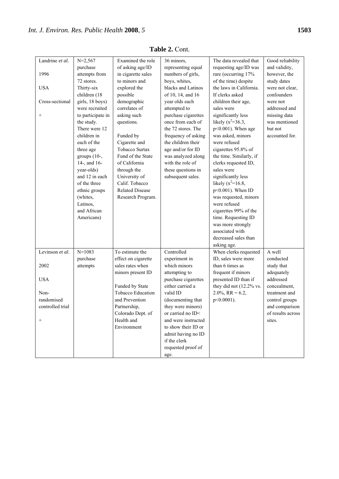| Landrine et al.  | $N=2,567$         | Examined the role      | 36 minors,          | The data revealed that  | Good reliability  |
|------------------|-------------------|------------------------|---------------------|-------------------------|-------------------|
|                  | purchase          | of asking age/ID       | representing equal  | requesting age/ID was   | and validity,     |
| 1996             | attempts from     | in cigarette sales     | numbers of girls,   | rare (occurring 17%     | however, the      |
|                  | 72 stores.        | to minors and          | boys, whites,       | of the time) despite    | study dates       |
| <b>USA</b>       | Thirty-six        | explored the           | blacks and Latinos  | the laws in California. | were not clear,   |
|                  | children (18      | possible               | of 10, 14, and 16   | If clerks asked         | confounders       |
| Cross-sectional  | girls, 18 boys)   | demographic            | year olds each      | children their age,     | were not          |
|                  | were recruited    | correlates of          | attempted to        | sales were              | addressed and     |
| $\! + \!\!\!\!$  | to participate in | asking such            | purchase cigarettes | significantly less      | missing data      |
|                  | the study.        | questions.             | once from each of   | likely $(x^2=36.3,$     | was mentioned     |
|                  | There were 12     |                        | the 72 stores. The  | $p<0.001$ ). When age   | but not           |
|                  | children in       | Funded by              | frequency of asking | was asked, minors       | accounted for.    |
|                  | each of the       | Cigarette and          | the children their  | were refused            |                   |
|                  | three age         | Tobacco Surtax         | age and/or for ID   | cigarettes 95.8% of     |                   |
|                  | groups $(10-$ ,   | Fund of the State      | was analyzed along  | the time. Similarly, if |                   |
|                  | 14-, and 16-      | of California          | with the role of    | clerks requested ID,    |                   |
|                  | year-olds)        | through the            | these questions in  | sales were              |                   |
|                  | and 12 in each    | University of          | subsequent sales.   | significantly less      |                   |
|                  | of the three      | Calif. Tobacco         |                     | likely $(x^2=16.8,$     |                   |
|                  | ethnic groups     | <b>Related Disease</b> |                     | $p<0.001$ ). When ID    |                   |
|                  | (whites,          | Research Program.      |                     | was requested, minors   |                   |
|                  | Latinos,          |                        |                     | were refused            |                   |
|                  | and African       |                        |                     | cigarettes 99% of the   |                   |
|                  | Americans)        |                        |                     | time. Requesting ID     |                   |
|                  |                   |                        |                     | was more strongly       |                   |
|                  |                   |                        |                     | associated with         |                   |
|                  |                   |                        |                     | decreased sales than    |                   |
|                  |                   |                        |                     | asking age.             |                   |
| Levinson et al.  | $N = 1083$        | To estimate the        | Controlled          | When clerks requested   | A well            |
|                  | purchase          | effect on cigarette    | experiment in       | ID, sales were more     | conducted         |
| 2002             | attempts          | sales rates when       | which minors        | than 6 times as         | study that        |
|                  |                   | minors present ID      | attempting to       | frequent if minors      | adequately        |
| <b>USA</b>       |                   |                        | purchase cigarettes | presented ID than if    | addressed         |
|                  |                   | Funded by State        | either carried a    | they did not (12.2% vs. | concealment,      |
| Non-             |                   | Tobacco Education      | valid ID            | $2.0\%$ , RR = 6.2,     | treatment and     |
| randomised       |                   | and Prevention         | (documenting that   | $p<0.0001$ ).           | control groups    |
| controlled trial |                   | Partnership,           | they were minors)   |                         | and comparison    |
|                  |                   | Colorado Dept. of      | or carried no ID<   |                         | of results across |
|                  |                   | Health and             | and were instructed |                         | sites.            |
|                  |                   | Environment            | to show their ID or |                         |                   |
|                  |                   |                        | admit having no ID  |                         |                   |
|                  |                   |                        | if the clerk        |                         |                   |
|                  |                   |                        | requested proof of  |                         |                   |
|                  |                   |                        | age.                |                         |                   |

**Table 2.** Cont.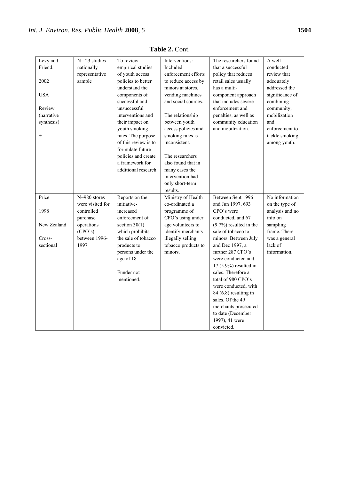| Levy and    | $N = 23$ studies | To review            | Interventions:      | The researchers found        | A well          |
|-------------|------------------|----------------------|---------------------|------------------------------|-----------------|
| Friend.     | nationally       | empirical studies    | Included            | that a successful            | conducted       |
|             | representative   | of youth access      | enforcement efforts | policy that reduces          | review that     |
| 2002        | sample           | policies to better   | to reduce access by | retail sales usually         | adequately      |
|             |                  | understand the       | minors at stores,   | has a multi-                 | addressed the   |
| <b>USA</b>  |                  | components of        | vending machines    | component approach           | significance of |
|             |                  | successful and       | and social sources. | that includes severe         | combining       |
| Review      |                  | unsuccessful         |                     | enforcement and              | community,      |
| (narrative  |                  | interventions and    | The relationship    | penalties, as well as        | mobilization    |
| synthesis)  |                  | their impact on      | between youth       | community education          | and             |
|             |                  | youth smoking        | access policies and | and mobilization.            | enforcement to  |
| $^{+}$      |                  | rates. The purpose   | smoking rates is    |                              | tackle smoking  |
|             |                  | of this review is to | inconsistent.       |                              | among youth.    |
|             |                  | formulate future     |                     |                              |                 |
|             |                  | policies and create  | The researchers     |                              |                 |
|             |                  | a framework for      | also found that in  |                              |                 |
|             |                  | additional research  | many cases the      |                              |                 |
|             |                  |                      | intervention had    |                              |                 |
|             |                  |                      | only short-term     |                              |                 |
|             |                  |                      | results.            |                              |                 |
| Price       | N=980 stores     | Reports on the       | Ministry of Health  | Between Sept 1996            | No information  |
|             | were visited for | initiative-          | co-ordinated a      | and Jun 1997, 693            | on the type of  |
| 1998        | controlled       | increased            | programme of        | CPO's were                   | analysis and no |
|             | purchase         | enforcement of       | CPO's using under   | conducted, and 67            | info on         |
| New Zealand |                  | section $30(1)$      | age volunteers to   | $(9.7\%)$ resulted in the    | sampling        |
|             | operations       |                      |                     |                              |                 |
|             | (CPO's)          | which prohibits      | identify merchants  | sale of tobacco to           | frame. There    |
| Cross-      | between 1996-    | the sale of tobacco  | illegally selling   | minors. Between July         | was a general   |
| sectional   | 1997             | products to          | tobacco products to | and Dec 1997, a              | lack of         |
|             |                  | persons under the    | minors.             | further 287 CPO's            | information.    |
|             |                  | age of 18.           |                     | were conducted and           |                 |
|             |                  |                      |                     | $17(5.9\%)$ resulted in      |                 |
|             |                  | Funder not           |                     | sales. Therefore a           |                 |
|             |                  | mentioned.           |                     | total of 980 CPO's           |                 |
|             |                  |                      |                     | were conducted, with         |                 |
|             |                  |                      |                     | $84(6.8)$ resulting in       |                 |
|             |                  |                      |                     | sales. Of the 49             |                 |
|             |                  |                      |                     | merchants prosecuted         |                 |
|             |                  |                      |                     | to date (December            |                 |
|             |                  |                      |                     | 1997), 41 were<br>convicted. |                 |

**Table 2.** Cont.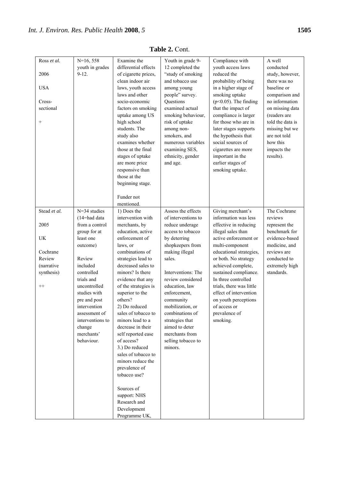| Ross et al.        | $N=16, 558$                | Examine the                                  | Youth in grade 9-                      | Compliance with                                 | A well                         |
|--------------------|----------------------------|----------------------------------------------|----------------------------------------|-------------------------------------------------|--------------------------------|
| 2006               | youth in grades<br>$9-12.$ | differential effects<br>of cigarette prices, | 12 completed the<br>"study of smoking" | youth access laws<br>reduced the                | conducted<br>study, however,   |
|                    |                            | clean indoor air                             | and tobacco use                        | probability of being                            | there was no                   |
| <b>USA</b>         |                            | laws, youth access                           | among young                            | in a higher stage of                            | baseline or                    |
|                    |                            | laws and other                               | people" survey.                        | smoking uptake                                  | comparison and                 |
| Cross-             |                            | socio-economic                               | Questions                              | $(p<0.05)$ . The finding                        | no information                 |
| sectional          |                            | factors on smoking                           | examined actual                        | that the impact of                              | on missing data                |
|                    |                            | uptake among US                              | smoking behaviour,                     | compliance is larger                            | (readers are                   |
| $^{+}$             |                            | high school                                  | risk of uptake                         | for those who are in                            | told the data is               |
|                    |                            | students. The                                | among non-<br>smokers, and             | later stages supports<br>the hypothesis that    | missing but we<br>are not told |
|                    |                            | study also<br>examines whether               | numerous variables                     | social sources of                               | how this                       |
|                    |                            | those at the final                           | examining SES,                         | cigarettes are more                             | impacts the                    |
|                    |                            | stages of uptake                             | ethnicity, gender                      | important in the                                | results).                      |
|                    |                            | are more price                               | and age.                               | earlier stages of                               |                                |
|                    |                            | responsive than                              |                                        | smoking uptake.                                 |                                |
|                    |                            | those at the                                 |                                        |                                                 |                                |
|                    |                            | beginning stage.                             |                                        |                                                 |                                |
|                    |                            | Funder not                                   |                                        |                                                 |                                |
|                    |                            | mentioned.                                   |                                        |                                                 |                                |
| Stead et al.       | N=34 studies               | 1) Does the                                  | Assess the effects                     | Giving merchant's                               | The Cochrane                   |
|                    | (14=had data               | intervention with                            | of interventions to                    | information was less                            | reviews                        |
| 2005               | from a control             | merchants, by                                | reduce underage                        | effective in reducing                           | represent the                  |
|                    | group for at               | education, active                            | access to tobacco                      | illegal sales than                              | benchmark for                  |
| UK                 | least one                  | enforcement of                               | by deterring                           | active enforcement or                           | evidence-based                 |
|                    | outcome)                   | laws, or                                     | shopkeepers from                       | multi-component                                 | medicine, and                  |
| Cochrane<br>Review | Review                     | combinations of<br>strategies lead to        | making illegal<br>sales.               | educational strategies,<br>or both. No strategy | reviews are<br>conducted to    |
| (narrative         | included                   | decreased sales to                           |                                        | achieved complete,                              | extremely high                 |
| synthesis)         | controlled                 | minors? Is there                             | Interventions: The                     | sustained compliance.                           | standards.                     |
|                    | trials and                 | evidence that any                            | review considered                      | In three controlled                             |                                |
| $^{++}$            | uncontrolled               | of the strategies is                         | education, law                         | trials, there was little                        |                                |
|                    | studies with               | superior to the                              | enforcement,                           | effect of intervention                          |                                |
|                    | pre and post               | others?                                      | community                              | on youth perceptions                            |                                |
|                    | intervention               | 2) Do reduced                                | mobilization, or                       | of access or                                    |                                |
|                    | assessment of              | sales of tobacco to                          | combinations of                        | prevalence of                                   |                                |
|                    | interventions to           | minors lead to a<br>decrease in their        | strategies that<br>aimed to deter      | smoking.                                        |                                |
|                    | change<br>merchants'       | self reported ease                           | merchants from                         |                                                 |                                |
|                    | behaviour.                 | of access?                                   | selling tobacco to                     |                                                 |                                |
|                    |                            | 3.) Do reduced                               | minors.                                |                                                 |                                |
|                    |                            | sales of tobacco to                          |                                        |                                                 |                                |
|                    |                            | minors reduce the                            |                                        |                                                 |                                |
|                    |                            | prevalence of                                |                                        |                                                 |                                |
|                    |                            | tobacco use?                                 |                                        |                                                 |                                |
|                    |                            | Sources of                                   |                                        |                                                 |                                |
|                    |                            | support: NHS                                 |                                        |                                                 |                                |
|                    |                            | Research and                                 |                                        |                                                 |                                |
|                    |                            | Development                                  |                                        |                                                 |                                |
|                    |                            | Programme UK,                                |                                        |                                                 |                                |

**Table 2.** Cont.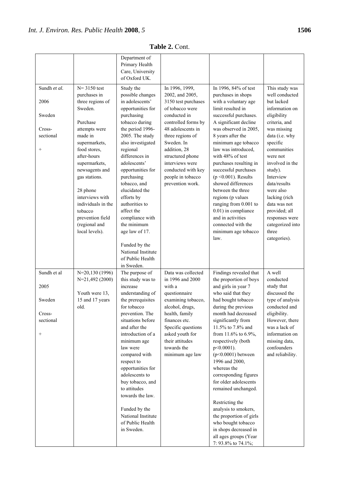**Table 2.** Cont.

|                                                                 |                                                                                                                                                                                                                                                                                                                                   | Department of<br>Primary Health<br>Care, University                                                                                                                                                                                                                                                                                                                                                                                                       |                                                                                                                                                                                                                                                                                                 |                                                                                                                                                                                                                                                                                                                                                                                                                                                                                                                                                                                  |                                                                                                                                                                                                                                                                                                                                                                   |
|-----------------------------------------------------------------|-----------------------------------------------------------------------------------------------------------------------------------------------------------------------------------------------------------------------------------------------------------------------------------------------------------------------------------|-----------------------------------------------------------------------------------------------------------------------------------------------------------------------------------------------------------------------------------------------------------------------------------------------------------------------------------------------------------------------------------------------------------------------------------------------------------|-------------------------------------------------------------------------------------------------------------------------------------------------------------------------------------------------------------------------------------------------------------------------------------------------|----------------------------------------------------------------------------------------------------------------------------------------------------------------------------------------------------------------------------------------------------------------------------------------------------------------------------------------------------------------------------------------------------------------------------------------------------------------------------------------------------------------------------------------------------------------------------------|-------------------------------------------------------------------------------------------------------------------------------------------------------------------------------------------------------------------------------------------------------------------------------------------------------------------------------------------------------------------|
| Sundh et al.<br>2006<br>Sweden<br>Cross-<br>sectional<br>$^{+}$ | $N = 3150$ test<br>purchases in<br>three regions of<br>Sweden.<br>Purchase<br>attempts were<br>made in<br>supermarkets,<br>food stores,<br>after-hours<br>supermarkets,<br>newsagents and<br>gas stations.<br>28 phone<br>interviews with<br>individuals in the<br>tobacco<br>prevention field<br>(regional and<br>local levels). | of Oxford UK.<br>Study the<br>possible changes<br>in adolescents'<br>opportunities for<br>purchasing<br>tobacco during<br>the period 1996-<br>2005. The study<br>also investigated<br>regional<br>differences in<br>adolescents'<br>opportunities for<br>purchasing<br>tobacco, and<br>elucidated the<br>efforts by<br>authorities to<br>affect the<br>compliance with<br>the minimum<br>age law of 17.<br>Funded by the<br>National Institute            | In 1996, 1999,<br>2002, and 2005,<br>3150 test purchases<br>of tobacco were<br>conducted in<br>controlled forms by<br>48 adolescents in<br>three regions of<br>Sweden. In<br>addition, 28<br>structured phone<br>interviews were<br>conducted with key<br>people in tobacco<br>prevention work. | In 1996, 84% of test<br>purchases in shops<br>with a voluntary age<br>limit resulted in<br>successful purchases.<br>A significant decline<br>was observed in 2005,<br>8 years after the<br>minimum age tobacco<br>law was introduced,<br>with 48% of test<br>purchases resulting in<br>successful purchases<br>$(p \le 0.001)$ . Results<br>showed differences<br>between the three<br>regions (p values<br>ranging from 0.001 to<br>0.01) in compliance<br>and in activities<br>connected with the<br>minimum age tobacco<br>law.                                               | This study was<br>well conducted<br>but lacked<br>information on<br>eligibility<br>criteria, and<br>was missing<br>data (i.e. why<br>specific<br>communities<br>were not<br>involved in the<br>study).<br>Interview<br>data/results<br>were also<br>lacking (rich<br>data was not<br>provided; all<br>responses were<br>categorized into<br>three<br>categories). |
| Sundh et al<br>2005<br>Sweden<br>Cross-<br>sectional<br>$^{+}$  | $N=20,130(1996)$<br>N=21,492 (2000)<br>Youth were 13,<br>15 and 17 years<br>old.                                                                                                                                                                                                                                                  | of Public Health<br>in Sweden.<br>The purpose of<br>this study was to<br>increase<br>understanding of<br>the prerequisites<br>for tobacco<br>prevention. The<br>situations before<br>and after the<br>introduction of a<br>minimum age<br>law were<br>compared with<br>respect to<br>opportunities for<br>adolescents to<br>buy tobacco, and<br>to attitudes<br>towards the law.<br>Funded by the<br>National Institute<br>of Public Health<br>in Sweden. | Data was collected<br>in 1996 and 2000<br>with a<br>questionnaire<br>examining tobacco,<br>alcohol, drugs,<br>health, family<br>finances etc.<br>Specific questions<br>asked youth for<br>their attitudes<br>towards the<br>minimum age law                                                     | Findings revealed that<br>the proportion of boys<br>and girls in year 7<br>who said that they<br>had bought tobacco<br>during the previous<br>month had decreased<br>significantly from<br>11.5% to 7.8% and<br>from 11.6% to 6.9%,<br>respectively (both<br>$p<0.0001$ ).<br>$(p<0.0001)$ between<br>1996 and 2000,<br>whereas the<br>corresponding figures<br>for older adolescents<br>remained unchanged.<br>Restricting the<br>analysis to smokers,<br>the proportion of girls<br>who bought tobacco<br>in shops decreased in<br>all ages groups (Year<br>7: 93.8% to 74.1%; | A well<br>conducted<br>study that<br>discussed the<br>type of analysis<br>conducted and<br>eligibility.<br>However, there<br>was a lack of<br>information on<br>missing data,<br>confounders<br>and reliability.                                                                                                                                                  |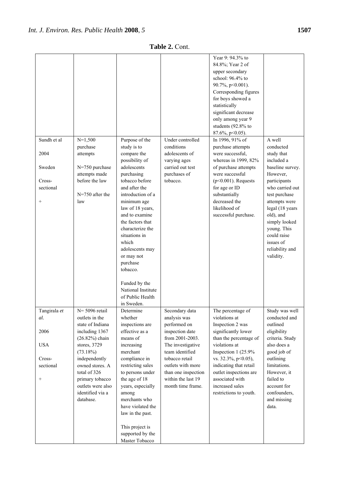**Table 2.** Cont.

|                                                                                     |                                                                                                                                                                                                                                                           |                                                                                                                                                                                                                                                                                                                                                                                                              |                                                                                                                                                                                                                                       | Year 9: 94.3% to<br>84.8%; Year 2 of<br>upper secondary<br>school: 96.4% to<br>90.7%, p<0.001).<br>Corresponding figures<br>for boys showed a<br>statistically<br>significant decrease<br>only among year 9<br>students (92.8% to<br>87.6%, p<0.05).                                              |                                                                                                                                                                                                                                                                                  |
|-------------------------------------------------------------------------------------|-----------------------------------------------------------------------------------------------------------------------------------------------------------------------------------------------------------------------------------------------------------|--------------------------------------------------------------------------------------------------------------------------------------------------------------------------------------------------------------------------------------------------------------------------------------------------------------------------------------------------------------------------------------------------------------|---------------------------------------------------------------------------------------------------------------------------------------------------------------------------------------------------------------------------------------|---------------------------------------------------------------------------------------------------------------------------------------------------------------------------------------------------------------------------------------------------------------------------------------------------|----------------------------------------------------------------------------------------------------------------------------------------------------------------------------------------------------------------------------------------------------------------------------------|
| Sundh et al<br>2004<br>Sweden<br>Cross-<br>sectional<br>$^{+}$                      | $N=1,500$<br>purchase<br>attempts<br>N=750 purchase<br>attempts made<br>before the law<br>$N=750$ after the<br>law                                                                                                                                        | Purpose of the<br>study is to<br>compare the<br>possibility of<br>adolescents<br>purchasing<br>tobacco before<br>and after the<br>introduction of a<br>minimum age<br>law of 18 years,<br>and to examine<br>the factors that<br>characterize the<br>situations in<br>which<br>adolescents may<br>or may not<br>purchase<br>tobacco.<br>Funded by the<br>National Institute<br>of Public Health<br>in Sweden. | Under controlled<br>conditions<br>adolescents of<br>varying ages<br>carried out test<br>purchases of<br>tobacco.                                                                                                                      | In 1996, 91% of<br>purchase attempts<br>were successful,<br>whereas in 1999, 82%<br>of purchase attempts<br>were successful<br>$(p<0.001)$ . Requests<br>for age or ID<br>substantially<br>decreased the<br>likelihood of<br>successful purchase.                                                 | A well<br>conducted<br>study that<br>included a<br>baseline survey.<br>However,<br>participants<br>who carried out<br>test purchase<br>attempts were<br>legal (18 years<br>old), and<br>simply looked<br>young. This<br>could raise<br>issues of<br>reliability and<br>validity. |
| Tangirala et<br>al.<br>2006<br><b>USA</b><br>Cross-<br>sectional<br>$\! + \!\!\!\!$ | $N = 5096$ retail<br>outlets in the<br>state of Indiana<br>including 1367<br>$(26.82%)$ chain<br>stores, 3729<br>$(73.18\%)$<br>independently<br>owned stores. A<br>total of 326<br>primary tobacco<br>outlets were also<br>identified via a<br>database. | Determine<br>whether<br>inspections are<br>effective as a<br>means of<br>increasing<br>merchant<br>compliance in<br>restricting sales<br>to persons under<br>the age of 18<br>years, especially<br>among<br>merchants who<br>have violated the<br>law in the past.<br>This project is<br>supported by the<br>Master Tobacco                                                                                  | Secondary data<br>analysis was<br>performed on<br>inspection date<br>from 2001-2003.<br>The investigative<br>team identified<br>tobacco retail<br>outlets with more<br>than one inspection<br>within the last 19<br>month time frame. | The percentage of<br>violations at<br>Inspection 2 was<br>significantly lower<br>than the percentage of<br>violations at<br>Inspection 1 (25.9%<br>vs. $32.3\%$ , $p<0.05$ ),<br>indicating that retail<br>outlet inspections are<br>associated with<br>increased sales<br>restrictions to youth. | Study was well<br>conducted and<br>outlined<br>eligibility<br>criteria. Study<br>also does a<br>good job of<br>outlining<br>limitations.<br>However, it<br>failed to<br>account for<br>confounders,<br>and missing<br>data.                                                      |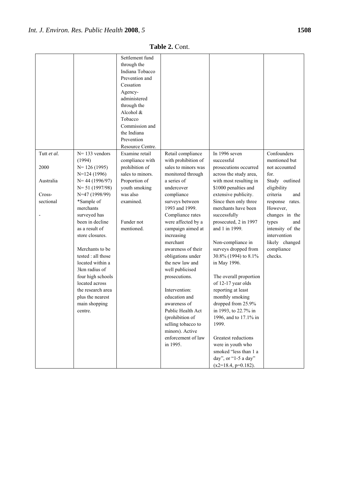|                     |                                                                      | Settlement fund<br>through the<br>Indiana Tobacco<br>Prevention and<br>Cessation<br>Agency-<br>administered<br>through the<br>Alcohol &<br>Tobacco<br>Commission and<br>the Indiana<br>Prevention |                                                                           |                                                                                           |                                                                    |
|---------------------|----------------------------------------------------------------------|---------------------------------------------------------------------------------------------------------------------------------------------------------------------------------------------------|---------------------------------------------------------------------------|-------------------------------------------------------------------------------------------|--------------------------------------------------------------------|
| Tutt et al.         | $N=133$ vendors                                                      | Resource Centre.<br>Examine retail                                                                                                                                                                | Retail compliance                                                         | In 1996 seven                                                                             | Confounders                                                        |
| 2000                | (1994)<br>$N=126(1995)$<br>$N=124(1996)$                             | compliance with<br>prohibition of<br>sales to minors.                                                                                                                                             | with prohibition of<br>sales to minors was<br>monitored through           | successful<br>prosecutions occurred<br>across the study area,                             | mentioned but<br>not accounted<br>for.                             |
| Australia           | $N = 44(1996/97)$<br>$N = 51(1997/98)$                               | Proportion of<br>youth smoking                                                                                                                                                                    | a series of<br>undercover                                                 | with most resulting in<br>\$1000 penalties and                                            | Study outlined<br>eligibility                                      |
| Cross-<br>sectional | N=47 (1998/99)<br>*Sample of<br>merchants                            | was also<br>examined.                                                                                                                                                                             | compliance<br>surveys between<br>1993 and 1999.                           | extensive publicity.<br>Since then only three<br>merchants have been                      | criteria<br>and<br>response rates.<br>However,                     |
|                     | surveyed has<br>been in decline<br>as a result of<br>store closures. | Funder not<br>mentioned.                                                                                                                                                                          | Compliance rates<br>were affected by a<br>campaign aimed at<br>increasing | successfully<br>prosecuted, 2 in 1997<br>and 1 in 1999.                                   | changes in the<br>types<br>and<br>intensity of the<br>intervention |
|                     | Merchants to be<br>tested : all those<br>located within a            |                                                                                                                                                                                                   | merchant<br>awareness of their<br>obligations under<br>the new law and    | Non-compliance in<br>surveys dropped from<br>30.8% (1994) to 8.1%<br>in May 1996.         | likely changed<br>compliance<br>checks.                            |
|                     | 3km radius of<br>four high schools<br>located across                 |                                                                                                                                                                                                   | well publicised<br>prosecutions.                                          | The overall proportion<br>of 12-17 year olds                                              |                                                                    |
|                     | the research area<br>plus the nearest<br>main shopping<br>centre.    |                                                                                                                                                                                                   | Intervention:<br>education and<br>awareness of<br>Public Health Act       | reporting at least<br>monthly smoking<br>dropped from 25.9%<br>in 1993, to 22.7% in       |                                                                    |
|                     |                                                                      |                                                                                                                                                                                                   | (prohibition of<br>selling tobacco to<br>minors). Active                  | 1996, and to 17.1% in<br>1999.                                                            |                                                                    |
|                     |                                                                      |                                                                                                                                                                                                   | enforcement of law<br>in 1995.                                            | Greatest reductions<br>were in youth who<br>smoked "less than 1 a<br>day", or "1-5 a day" |                                                                    |
|                     |                                                                      |                                                                                                                                                                                                   |                                                                           | $(x2=18.4, p=0.182)$ .                                                                    |                                                                    |

**Table 2.** Cont.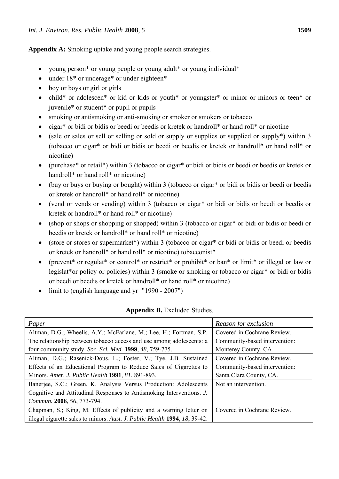**Appendix A:** Smoking uptake and young people search strategies.

- young person<sup>\*</sup> or young people or young adult<sup>\*</sup> or young individual<sup>\*</sup>
- under  $18^*$  or underage<sup>\*</sup> or under eighteen<sup>\*</sup>
- boy or boys or girl or girls
- child\* or adolescen\* or kid or kids or youth\* or youngster\* or minor or minors or teen\* or juvenile\* or student\* or pupil or pupils
- smoking or antismoking or anti-smoking or smoker or smokers or tobacco
- cigar<sup>\*</sup> or bidi or bidis or beedi or beedis or kretek or handroll<sup>\*</sup> or hand roll<sup>\*</sup> or nicotine
- (sale or sales or sell or selling or sold or supply or supplies or supplied or supply\*) within 3 (tobacco or cigar\* or bidi or bidis or beedi or beedis or kretek or handroll\* or hand roll\* or nicotine)
- (purchase\* or retail\*) within 3 (tobacco or cigar\* or bidi or bidis or beedi or beedis or kretek or handroll<sup>\*</sup> or hand roll<sup>\*</sup> or nicotine)
- (buy or buys or buying or bought) within 3 (tobacco or cigar\* or bidi or bidis or beedi or beedis or kretek or handroll\* or hand roll\* or nicotine)
- (vend or vends or vending) within 3 (tobacco or cigar\* or bidi or bidis or beedi or beedis or kretek or handroll\* or hand roll\* or nicotine)
- (shop or shops or shopping or shopped) within 3 (tobacco or cigar\* or bidi or bidis or beedi or beedis or kretek or handroll\* or hand roll\* or nicotine)
- (store or stores or supermarket\*) within 3 (tobacco or cigar\* or bidi or bidis or beedi or beedis or kretek or handroll\* or hand roll\* or nicotine) tobacconist\*
- (prevent\* or regulat\* or control\* or restrict\* or prohibit\* or ban\* or limit\* or illegal or law or legislat\*or policy or policies) within 3 (smoke or smoking or tobacco or cigar\* or bidi or bidis or beedi or beedis or kretek or handroll\* or hand roll\* or nicotine)
- limit to (english language and yr="1990 2007")

| Paper                                                                      | Reason for exclusion          |  |
|----------------------------------------------------------------------------|-------------------------------|--|
| Altman, D.G.; Wheelis, A.Y.; McFarlane, M.; Lee, H.; Fortman, S.P.         | Covered in Cochrane Review.   |  |
| The relationship between tobacco access and use among adolescents: a       | Community-based intervention: |  |
| four community study. Soc. Sci. Med. 1999, 48, 759-775.                    | Monterey County, CA           |  |
| Altman, D.G.; Rasenick-Dous, L.; Foster, V.; Tye, J.B. Sustained           | Covered in Cochrane Review.   |  |
| Effects of an Educational Program to Reduce Sales of Cigarettes to         | Community-based intervention: |  |
| Minors. Amer. J. Public Health 1991, 81, 891-893.                          | Santa Clara County, CA.       |  |
| Banerjee, S.C.; Green, K. Analysis Versus Production: Adolescents          | Not an intervention.          |  |
| Cognitive and Attitudinal Responses to Antismoking Interventions. J.       |                               |  |
| Commun. 2006, 56, 773-794.                                                 |                               |  |
| Chapman, S.; King, M. Effects of publicity and a warning letter on         | Covered in Cochrane Review.   |  |
| illegal cigarette sales to minors. Aust. J. Public Health 1994, 18, 39-42. |                               |  |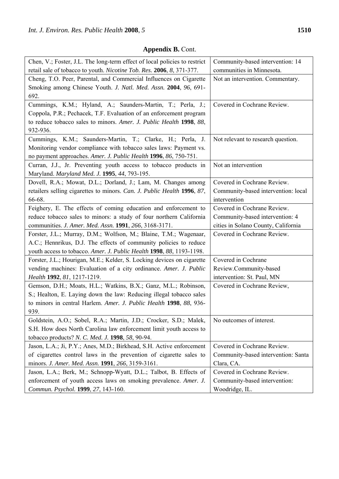# **Appendix B.** Cont.

| Chen, V.; Foster, J.L. The long-term effect of local policies to restrict | Community-based intervention: 14    |  |
|---------------------------------------------------------------------------|-------------------------------------|--|
| retail sale of tobacco to youth. Nicotine Tob. Res. 2006, 8, 371-377.     | communities in Minnesota.           |  |
| Cheng, T.O. Peer, Parental, and Commercial Influences on Cigarette        | Not an intervention. Commentary.    |  |
| Smoking among Chinese Youth. J. Natl. Med. Assn. 2004, 96, 691-           |                                     |  |
| 692.                                                                      |                                     |  |
| Cummings, K.M.; Hyland, A.; Saunders-Martin, T.; Perla, J.;               | Covered in Cochrane Review.         |  |
| Coppola, P.R.; Pechacek, T.F. Evaluation of an enforcement program        |                                     |  |
| to reduce tobacco sales to minors. Amer. J. Public Health 1998, 88,       |                                     |  |
| 932-936.                                                                  |                                     |  |
| Cummings, K.M.; Saunders-Martin, T.; Clarke, H.; Perla, J.                | Not relevant to research question.  |  |
| Monitoring vendor compliance with tobacco sales laws: Payment vs.         |                                     |  |
| no payment approaches. Amer. J. Public Health 1996, 86, 750-751.          |                                     |  |
| Curran, J.J., Jr. Preventing youth access to tobacco products in          | Not an intervention                 |  |
| Maryland. Maryland Med. J. 1995, 44, 793-195.                             |                                     |  |
| Dovell, R.A.; Mowat, D.L.; Dorland, J.; Lam, M. Changes among             | Covered in Cochrane Review.         |  |
| retailers selling cigarettes to minors. Can. J. Public Health 1996, 87,   | Community-based intervention: local |  |
| 66-68.                                                                    | intervention                        |  |
| Feighery, E. The effects of coming education and enforcement to           | Covered in Cochrane Review.         |  |
| reduce tobacco sales to minors: a study of four northern California       | Community-based intervention: 4     |  |
| communities. J. Amer. Med. Assn. 1991, 266, 3168-3171.                    | cities in Solano County, California |  |
| Forster, J.L.; Murray, D.M.; Wolfson, M.; Blaine, T.M.; Wagenaar,         | Covered in Cochrane Review.         |  |
| A.C.; Hennrikus, D.J. The effects of community policies to reduce         |                                     |  |
| youth access to tobacco. Amer. J. Public Health 1998, 88, 1193-1198.      |                                     |  |
| Forster, J.L.; Hourigan, M.E.; Kelder, S. Locking devices on cigarette    | Covered in Cochrane                 |  |
| vending machines: Evaluation of a city ordinance. Amer. J. Public         | Review.Community-based              |  |
| Health 1992, 81, 1217-1219.                                               | intervention: St. Paul, MN          |  |
| Gemson, D.H.; Moats, H.L.; Watkins, B.X.; Ganz, M.L.; Robinson,           | Covered in Cochrane Review,         |  |
| S.; Healton, E. Laying down the law: Reducing illegal tobacco sales       |                                     |  |
| to minors in central Harlem. Amer. J. Public Health 1998, 88, 936-        |                                     |  |
| 939.                                                                      |                                     |  |
| Goldstein, A.O.; Sobel, R.A.; Martin, J.D.; Crocker, S.D.; Malek,         | No outcomes of interest.            |  |
| S.H. How does North Carolina law enforcement limit youth access to        |                                     |  |
| tobacco products? N. C. Med. J. 1998, 58, 90-94.                          |                                     |  |
| Jason, L.A.; Ji, P.Y.; Anes, M.D.; Birkhead, S.H. Active enforcement      | Covered in Cochrane Review.         |  |
| of cigarettes control laws in the prevention of cigarette sales to        | Community-based intervention: Santa |  |
| minors. J. Amer. Med. Assn. 1991, 266, 3159-3161.                         | Clara, CA.                          |  |
| Jason, L.A.; Berk, M.; Schnopp-Wyatt, D.L.; Talbot, B. Effects of         | Covered in Cochrane Review.         |  |
| enforcement of youth access laws on smoking prevalence. Amer. J.          | Community-based intervention:       |  |
| Commun. Psychol. 1999, 27, 143-160.                                       | Woodridge, IL.                      |  |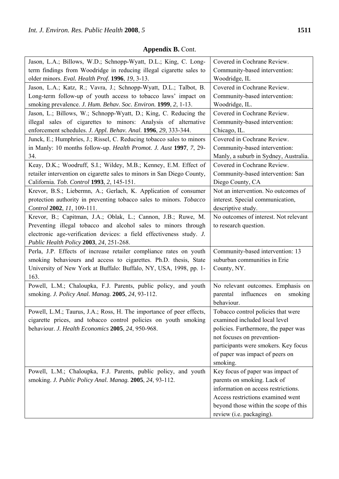## **Appendix B.** Cont.

| Jason, L.A.; Billows, W.D.; Schnopp-Wyatt, D.L.; King, C. Long-         | Covered in Cochrane Review.             |  |
|-------------------------------------------------------------------------|-----------------------------------------|--|
| term findings from Woodridge in reducing illegal cigarette sales to     | Community-based intervention:           |  |
| older minors. Eval. Health Prof. 1996, 19, 3-13.                        | Woodridge, IL                           |  |
| Jason, L.A.; Katz, R.; Vavra, J.; Schnopp-Wyatt, D.L.; Talbot, B.       | Covered in Cochrane Review.             |  |
| Long-term follow-up of youth access to tobacco laws' impact on          | Community-based intervention:           |  |
| smoking prevalence. J. Hum. Behav. Soc. Environ. 1999, 2, 1-13.         | Woodridge, IL.                          |  |
| Jason, L.; Billows, W.; Schnopp-Wyatt, D.; King, C. Reducing the        | Covered in Cochrane Review.             |  |
| illegal sales of cigarettes to minors: Analysis of alternative          | Community-based intervention:           |  |
| enforcement schedules. J. Appl. Behav. Anal. 1996, 29, 333-344.         | Chicago, IL.                            |  |
| Junck, E.; Humphries, J.; Rissel, C. Reducing tobacco sales to minors   | Covered in Cochrane Review.             |  |
| in Manly: 10 months follow-up. Health Promot. J. Aust 1997, 7, 29-      | Community-based intervention:           |  |
| 34.                                                                     | Manly, a suburb in Sydney, Australia.   |  |
| Keay, D.K.; Woodruff, S.I.; Wildey, M.B.; Kenney, E.M. Effect of        | Covered in Cochrane Review.             |  |
| retailer intervention on cigarette sales to minors in San Diego County, | Community-based intervention: San       |  |
| California. Tob. Control 1993, 2, 145-151.                              | Diego County, CA                        |  |
| Krevor, B.S.; Liebermn, A.; Gerlach, K. Application of consumer         | Not an intervention. No outcomes of     |  |
| protection authority in preventing tobacco sales to minors. Tobacco     | interest. Special communication,        |  |
| Control 2002, 11, 109-111.                                              | descriptive study.                      |  |
| Krevor, B.; Capitman, J.A.; Oblak, L.; Cannon, J.B.; Ruwe, M.           | No outcomes of interest. Not relevant   |  |
| Preventing illegal tobacco and alcohol sales to minors through          | to research question.                   |  |
| electronic age-verification devices: a field effectiveness study. J.    |                                         |  |
| Public Health Policy 2003, 24, 251-268.                                 |                                         |  |
| Perla, J.P. Effects of increase retailer compliance rates on youth      | Community-based intervention: 13        |  |
| smoking behaviours and access to cigarettes. Ph.D. thesis, State        | suburban communities in Erie            |  |
| University of New York at Buffalo: Buffalo, NY, USA, 1998, pp. 1-       | County, NY.                             |  |
| 163.                                                                    |                                         |  |
| Powell, L.M.; Chaloupka, F.J. Parents, public policy, and youth         | No relevant outcomes. Emphasis on       |  |
| smoking. J. Policy Anal. Manag. 2005, 24, 93-112.                       | parental<br>influences<br>smoking<br>on |  |
|                                                                         | behaviour.                              |  |
| Powell, L.M.; Taurus, J.A.; Ross, H. The importance of peer effects,    | Tobacco control policies that were      |  |
| cigarette prices, and tobacco control policies on youth smoking         | examined included local level           |  |
| behaviour. J. Health Economics 2005, 24, 950-968.                       | policies. Furthermore, the paper was    |  |
|                                                                         | not focuses on prevention-              |  |
|                                                                         | participants were smokers. Key focus    |  |
|                                                                         | of paper was impact of peers on         |  |
|                                                                         | smoking.                                |  |
| Powell, L.M.; Chaloupka, F.J. Parents, public policy, and youth         | Key focus of paper was impact of        |  |
| smoking. J. Public Policy Anal. Manag. 2005, 24, 93-112.                | parents on smoking. Lack of             |  |
|                                                                         | information on access restrictions.     |  |
|                                                                         | Access restrictions examined went       |  |
|                                                                         | beyond those within the scope of this   |  |
|                                                                         | review (i.e. packaging).                |  |
|                                                                         |                                         |  |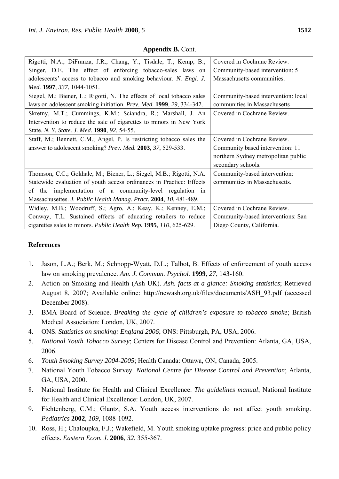| Rigotti, N.A.; DiFranza, J.R.; Chang, Y.; Tisdale, T.; Kemp, B.;       | Covered in Cochrane Review.         |
|------------------------------------------------------------------------|-------------------------------------|
| Singer, D.E. The effect of enforcing tobacco-sales laws on             | Community-based intervention: 5     |
| adolescents' access to tobacco and smoking behaviour. N. Engl. J.      | Massachusetts communities.          |
| Med. 1997, 337, 1044-1051.                                             |                                     |
| Siegel, M.; Biener, L.; Rigotti, N. The effects of local tobacco sales | Community-based intervention: local |
| laws on adolescent smoking initiation. Prev. Med. 1999, 29, 334-342.   | communities in Massachusetts        |
| Skretny, M.T.; Cummings, K.M.; Sciandra, R.; Marshall, J. An           | Covered in Cochrane Review.         |
| Intervention to reduce the sale of cigarettes to minors in New York    |                                     |
| State. N. Y. State. J. Med. 1990, 92, 54-55.                           |                                     |
| Staff, M.; Bennett, C.M.; Angel, P. Is restricting tobacco sales the   | Covered in Cochrane Review.         |
| answer to adolescent smoking? Prev. Med. 2003, 37, 529-533.            | Community based intervention: 11    |
|                                                                        | northern Sydney metropolitan public |
|                                                                        | secondary schools.                  |
| Thomson, C.C.; Gokhale, M.; Biener, L.; Siegel, M.B.; Rigotti, N.A.    | Community-based intervention:       |
| Statewide evaluation of youth access ordinances in Practice: Effects   | communities in Massachusetts.       |
| of the implementation of a community-level regulation in               |                                     |
| Massachusettes. J. Public Health Manag. Pract. 2004, 10, 481-489.      |                                     |
| Widley, M.B.; Woodruff, S.; Agro, A.; Keay, K.; Kenney, E.M.;          | Covered in Cochrane Review.         |
| Conway, T.L. Sustained effects of educating retailers to reduce        | Community-based interventions: San  |
| cigarettes sales to minors. Public Health Rep. 1995, 110, 625-629.     | Diego County, California.           |

## **Appendix B.** Cont.

## **References**

- 1. Jason, L.A.; Berk, M.; Schnopp-Wyatt, D.L.; Talbot, B. Effects of enforcement of youth access law on smoking prevalence. *Am. J. Commun. Psychol.* **1999**, *27*, 143-160.
- 2. Action on Smoking and Health (Ash UK). *Ash. facts at a glance: Smoking statistics*; Retrieved August 8, 2007; Available online: http://newash.org.uk/files/documents/ASH\_93.pdf (accessed December 2008).
- 3. BMA Board of Science. *Breaking the cycle of children's exposure to tobacco smoke*; British Medical Association: London, UK, 2007.
- 4. ONS. *Statistics on smoking: England 2006*; ONS: Pittsburgh, PA, USA, 2006.
- 5. *National Youth Tobacco Survey*; Centers for Disease Control and Prevention: Atlanta, GA, USA, 2006.
- 6. *Youth Smoking Survey 2004-2005*; Health Canada: Ottawa, ON, Canada, 2005.
- 7. National Youth Tobacco Survey. *National Centre for Disease Control and Prevention*; Atlanta, GA, USA, 2000.
- 8. National Institute for Health and Clinical Excellence. *The guidelines manual*; National Institute for Health and Clinical Excellence: London, UK, 2007.
- 9. Fichtenberg, C.M.; Glantz, S.A. Youth access interventions do not affect youth smoking. *Pediatrics* **2002**, *109*, 1088-1092.
- 10. Ross, H.; Chaloupka, F.J.; Wakefield, M. Youth smoking uptake progress: price and public policy effects. *Eastern Econ. J.* **2006**, *32*, 355-367.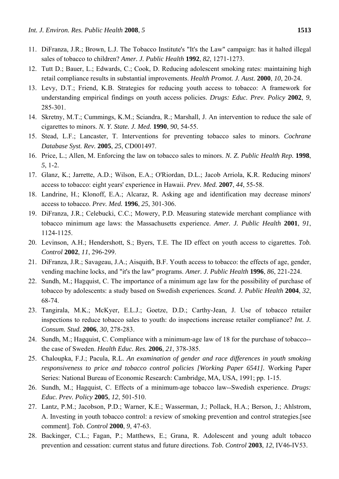- 11. DiFranza, J.R.; Brown, L.J. The Tobacco Institute's "It's the Law" campaign: has it halted illegal sales of tobacco to children? *Amer. J. Public Health* **1992**, *82*, 1271-1273.
- 12. Tutt D.; Bauer, L.; Edwards, C.; Cook, D. Reducing adolescent smoking rates: maintaining high retail compliance results in substantial improvements. *Health Promot. J. Aust.* **2000**, *10*, 20-24.
- 13. Levy, D.T.; Friend, K.B. Strategies for reducing youth access to tobacco: A framework for understanding empirical findings on youth access policies. *Drugs: Educ. Prev. Policy* **2002**, *9*, 285-301.
- 14. Skretny, M.T.; Cummings, K.M.; Sciandra, R.; Marshall, J. An intervention to reduce the sale of cigarettes to minors. *N. Y. State. J. Med.* **1990**, *90*, 54-55.
- 15. Stead, L.F.; Lancaster, T. Interventions for preventing tobacco sales to minors. *Cochrane Database Syst. Rev.* **2005**, *25*, CD001497.
- 16. Price, L.; Allen, M. Enforcing the law on tobacco sales to minors. *N. Z. Public Health Rep.* **1998**, *5*, 1-2.
- 17. Glanz, K.; Jarrette, A.D.; Wilson, E.A.; O'Riordan, D.L.; Jacob Arriola, K.R. Reducing minors' access to tobacco: eight years' experience in Hawaii. *Prev. Med.* **2007**, *44*, 55-58.
- 18. Landrine, H.; Klonoff, E.A.; Alcaraz, R. Asking age and identification may decrease minors' access to tobacco. *Prev. Med.* **1996**, *25*, 301-306.
- 19. DiFranza, J.R.; Celebucki, C.C.; Mowery, P.D. Measuring statewide merchant compliance with tobacco minimum age laws: the Massachusetts experience. *Amer. J. Public Health* **2001**, *91*, 1124-1125.
- 20. Levinson, A.H.; Hendershott, S.; Byers, T.E. The ID effect on youth access to cigarettes. *Tob. Control* **2002**, *11*, 296-299.
- 21. DiFranza, J.R.; Savageau, J.A.; Aisquith, B.F. Youth access to tobacco: the effects of age, gender, vending machine locks, and "it's the law" programs. *Amer. J. Public Health* **1996**, *86*, 221-224.
- 22. Sundh, M.; Hagquist, C. The importance of a minimum age law for the possibility of purchase of tobacco by adolescents: a study based on Swedish experiences. *Scand. J. Public Health* **2004**, *32*, 68-74.
- 23. Tangirala, M.K.; McKyer, E.L.J.; Goetze, D.D.; Carthy-Jean, J. Use of tobacco retailer inspections to reduce tobacco sales to youth: do inspections increase retailer compliance? *Int. J. Consum. Stud.* **2006**, *30*, 278-283.
- 24. Sundh, M.; Hagquist, C. Compliance with a minimum-age law of 18 for the purchase of tobacco- the case of Sweden. *Health Educ. Res.* **2006**, *21*, 378-385.
- 25. Chaloupka, F.J.; Pacula, R.L. *An examination of gender and race differences in youth smoking responsiveness to price and tobacco control policies [Working Paper 6541].* Working Paper Series: National Bureau of Economic Research: Cambridge, MA, USA, 1991; pp. 1-15.
- 26. Sundh, M.; Hagquist, C. Effects of a minimum-age tobacco law--Swedish experience. *Drugs: Educ. Prev. Policy* **2005**, *12*, 501-510.
- 27. Lantz, P.M.; Jacobson, P.D.; Warner, K.E.; Wasserman, J.; Pollack, H.A.; Berson, J.; Ahlstrom, A. Investing in youth tobacco control: a review of smoking prevention and control strategies.[see comment]. *Tob. Control* **2000**, *9*, 47-63.
- 28. Backinger, C.L.; Fagan, P.; Matthews, E.; Grana, R. Adolescent and young adult tobacco prevention and cessation: current status and future directions. *Tob. Control* **2003**, *12*, IV46-IV53.